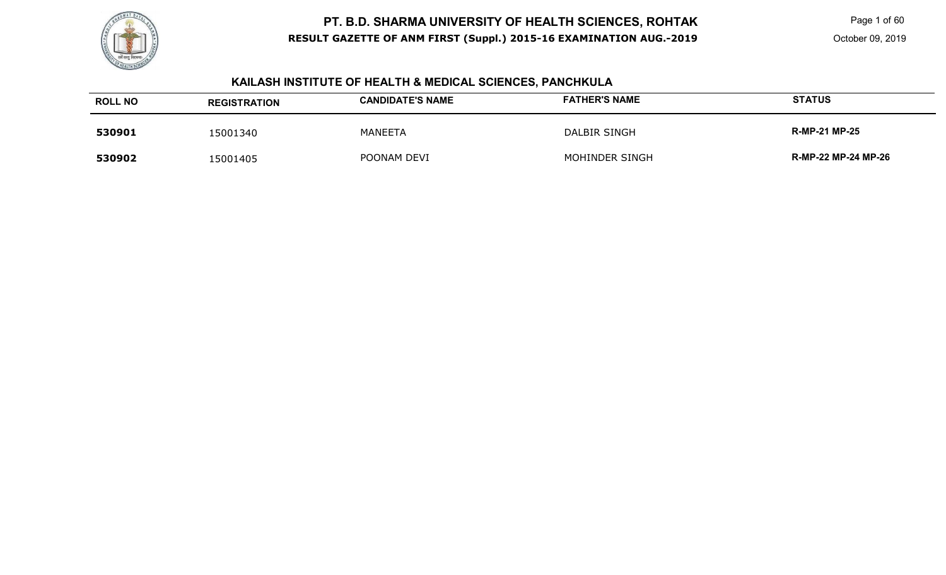

 Page 1 of 60 October 09, 2019

# **KAILASH INSTITUTE OF HEALTH & MEDICAL SCIENCES, PANCHKULA**

| <b>ROLL NO</b> | <b>REGISTRATION</b> | <b>CANDIDATE'S NAME</b> | <b>FATHER'S NAME</b> | <b>STATUS</b>        |
|----------------|---------------------|-------------------------|----------------------|----------------------|
| 530901         | 15001340            | MANEETA                 | DALBIR SINGH         | <b>R-MP-21 MP-25</b> |
| 530902         | 15001405            | POONAM DEVI             | MOHINDER SINGH       | R-MP-22 MP-24 MP-26  |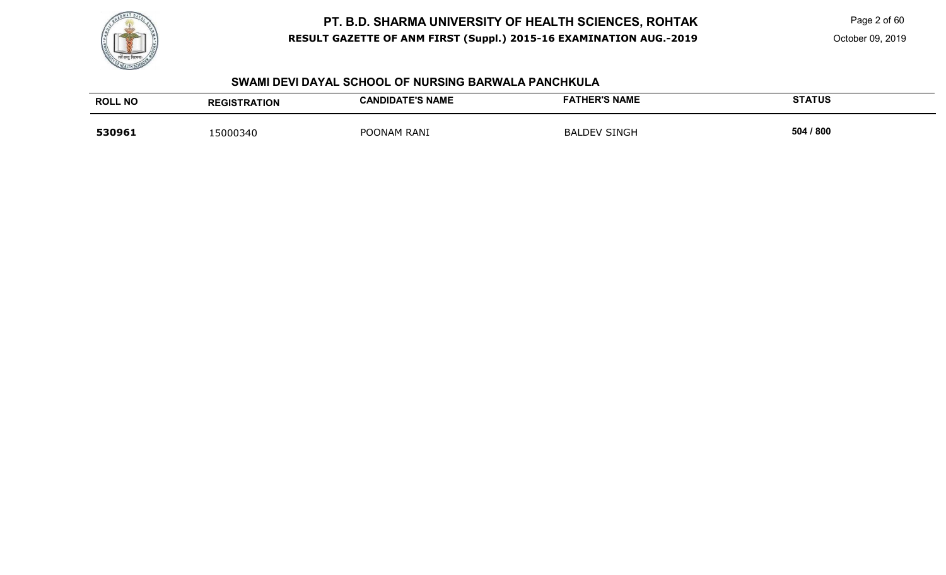

Page 2 of 60

#### **SWAMI DEVI DAYAL SCHOOL OF NURSING BARWALA PANCHKULA**

| <b>ROLL NO</b> | <b>REGISTRATION</b> | <b>CANDIDATE'S NAME</b> | <b>FATHER'S NAME</b> | <b>STATUS</b> |
|----------------|---------------------|-------------------------|----------------------|---------------|
| 530961         | 15000340            | POONAM RANI             | <b>BALDEV SINGH</b>  | 504 / 800     |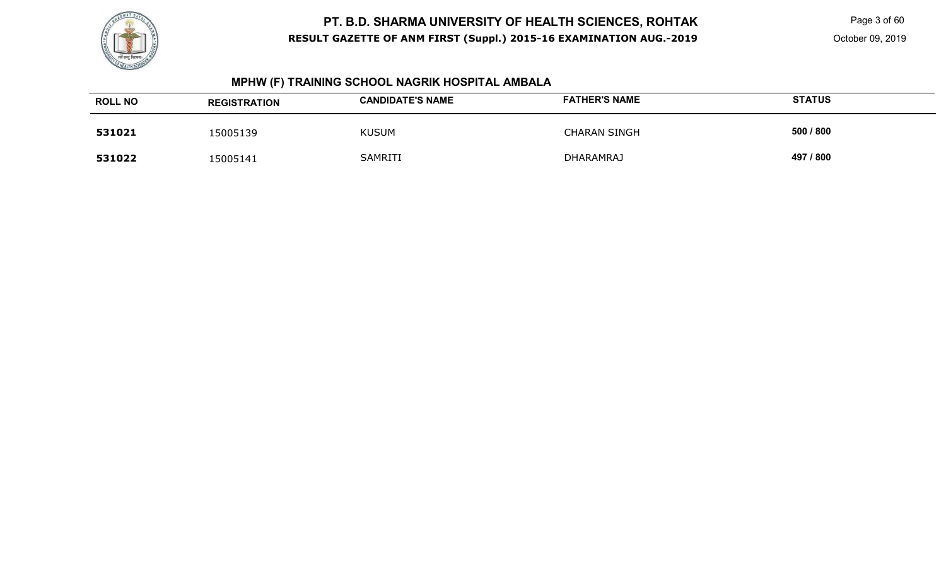

 Page 3 of 60 October 09, 2019

# **MPHW (F) TRAINING SCHOOL NAGRIK HOSPITAL AMBALA**

| <b>ROLL NO</b> | <b>REGISTRATION</b> | <b>CANDIDATE'S NAME</b> | <b>FATHER'S NAME</b> | <b>STATUS</b> |
|----------------|---------------------|-------------------------|----------------------|---------------|
| 531021         | 15005139            | <b>KUSUM</b>            | CHARAN SINGH         | 500 / 800     |
| 531022         | 15005141            | <b>SAMRITI</b>          | <b>DHARAMRAJ</b>     | 497 / 800     |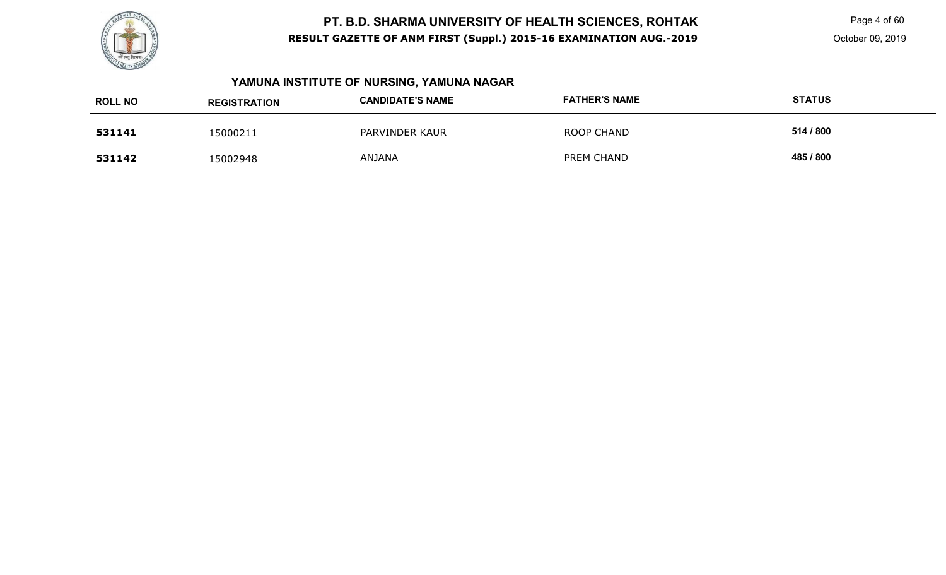

# **YAMUNA INSTITUTE OF NURSING, YAMUNA NAGAR**

| <b>ROLL NO</b> | <b>REGISTRATION</b> | <b>CANDIDATE'S NAME</b> | <b>FATHER'S NAME</b> | <b>STATUS</b> |
|----------------|---------------------|-------------------------|----------------------|---------------|
| 531141         | 15000211            | PARVINDER KAUR          | <b>ROOP CHAND</b>    | 514 / 800     |
| 531142         | 15002948            | ANJANA                  | PREM CHAND           | 485 / 800     |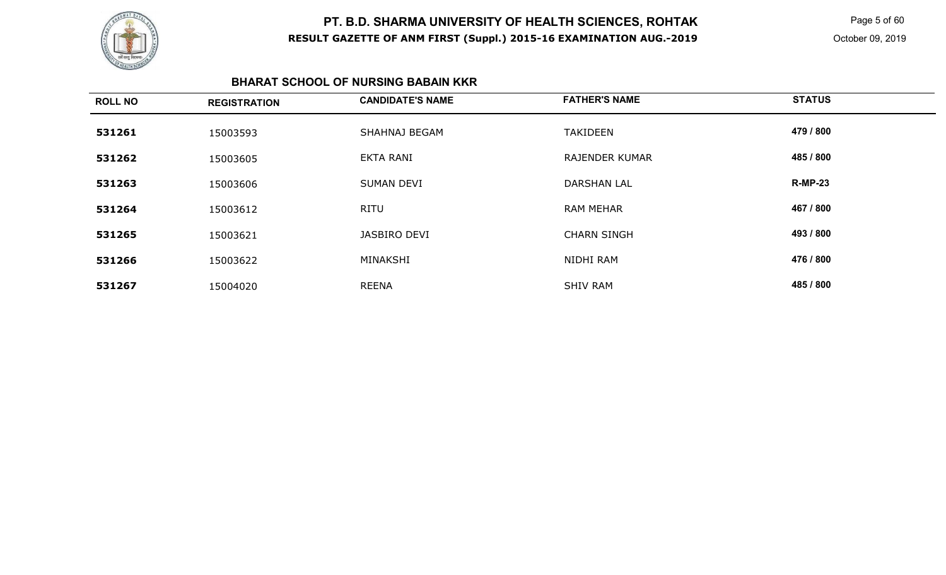

 Page 5 of 60 October 09, 2019

#### **BHARAT SCHOOL OF NURSING BABAIN KKR**

| <b>ROLL NO</b> | <b>REGISTRATION</b> | <b>CANDIDATE'S NAME</b> | <b>FATHER'S NAME</b>  | <b>STATUS</b>  |
|----------------|---------------------|-------------------------|-----------------------|----------------|
| 531261         | 15003593            | SHAHNAJ BEGAM           | <b>TAKIDEEN</b>       | 479 / 800      |
| 531262         | 15003605            | <b>EKTA RANI</b>        | <b>RAJENDER KUMAR</b> | 485 / 800      |
| 531263         | 15003606            | <b>SUMAN DEVI</b>       | <b>DARSHAN LAL</b>    | <b>R-MP-23</b> |
| 531264         | 15003612            | <b>RITU</b>             | <b>RAM MEHAR</b>      | 467 / 800      |
| 531265         | 15003621            | JASBIRO DEVI            | <b>CHARN SINGH</b>    | 493 / 800      |
| 531266         | 15003622            | MINAKSHI                | NIDHI RAM             | 476 / 800      |
| 531267         | 15004020            | <b>REENA</b>            | <b>SHIV RAM</b>       | 485 / 800      |
|                |                     |                         |                       |                |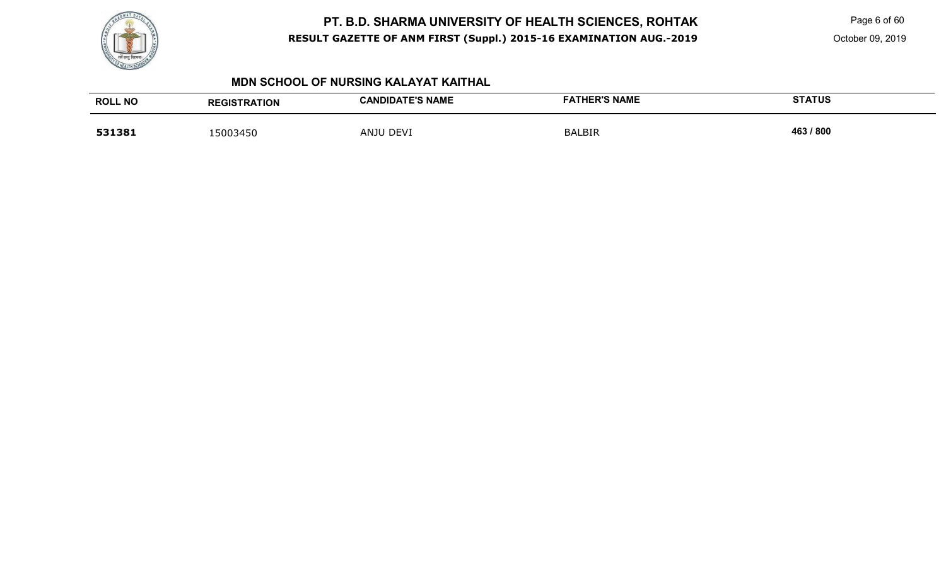

Page 6 of 60

October 09, 2019

#### **MDN SCHOOL OF NURSING KALAYAT KAITHAL**

| <b>ROLL NO</b> | <b>REGISTRATION</b> | <b>CANDIDATE'S NAME</b> | <b>FATHER'S NAME</b> | <b>STATUS</b> |
|----------------|---------------------|-------------------------|----------------------|---------------|
| 531381         | 15003450            | <b>DEVI</b><br>ANJU     | <b>BALBIR</b>        | 463 / 800     |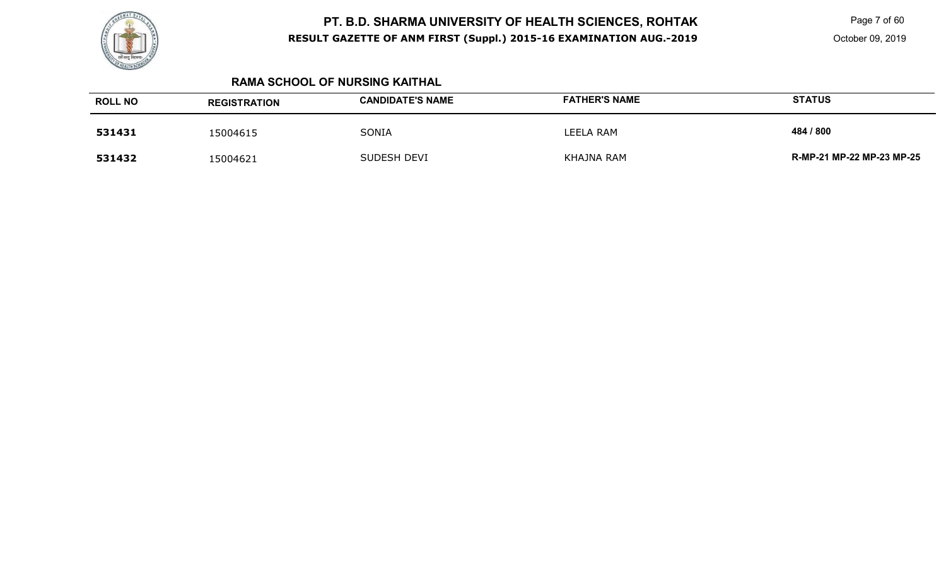

 Page 7 of 60 October 09, 2019

### **RAMA SCHOOL OF NURSING KAITHAL**

| <b>ROLL NO</b> | <b>REGISTRATION</b> | <b>CANDIDATE'S NAME</b> | <b>FATHER'S NAME</b> | <b>STATUS</b>             |
|----------------|---------------------|-------------------------|----------------------|---------------------------|
| 531431         | 15004615            | SONIA                   | LEELA RAM            | 484 / 800                 |
| 531432         | 15004621            | SUDESH DEVI             | KHAJNA RAM           | R-MP-21 MP-22 MP-23 MP-25 |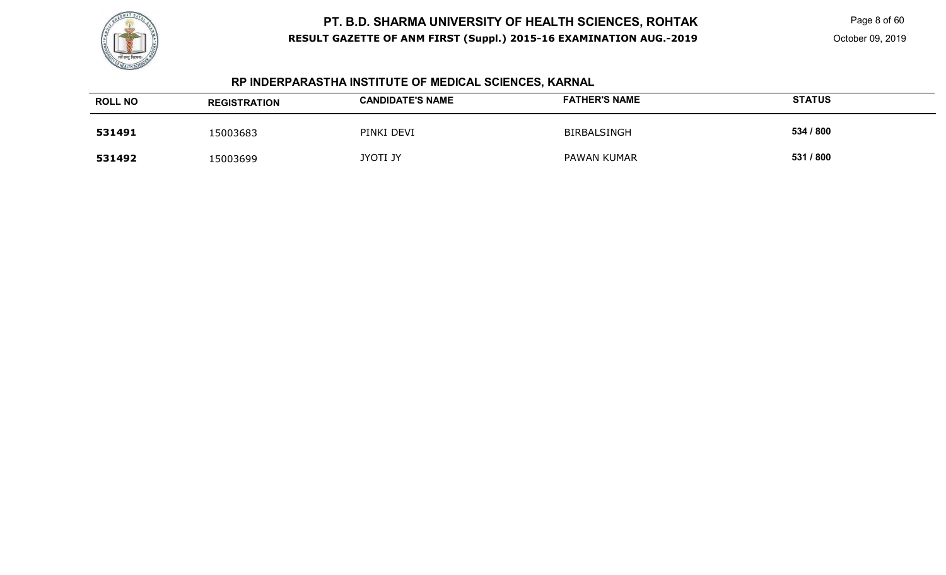

 Page 8 of 60 October 09, 2019

# **RP INDERPARASTHA INSTITUTE OF MEDICAL SCIENCES, KARNAL**

| <b>ROLL NO</b> | <b>REGISTRATION</b> | <b>CANDIDATE'S NAME</b> | <b>FATHER'S NAME</b> | <b>STATUS</b> |
|----------------|---------------------|-------------------------|----------------------|---------------|
| 531491         | 15003683            | PINKI DEVI              | BIRBALSINGH          | 534 / 800     |
| 531492         | 15003699            | <b>JYOTI JY</b>         | PAWAN KUMAR          | 531 / 800     |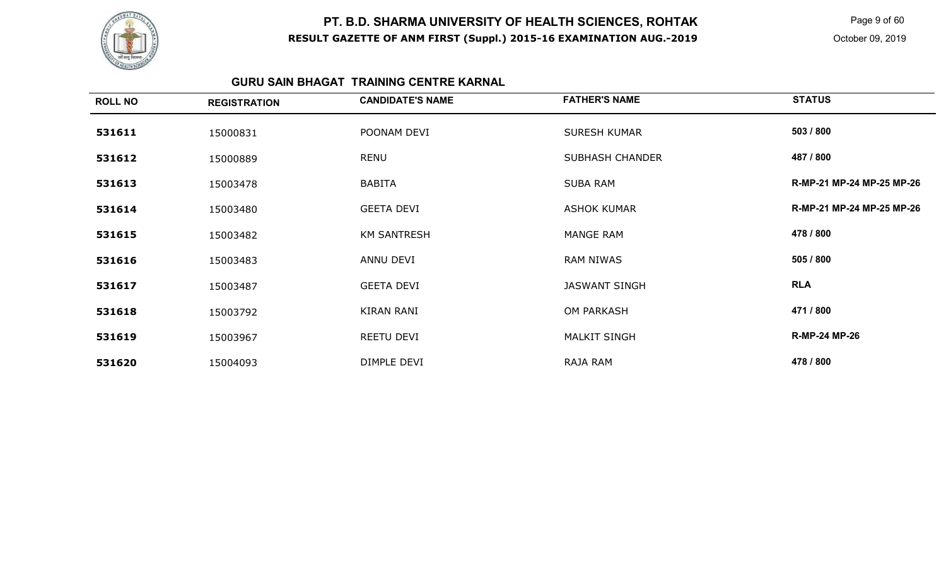

 Page 9 of 60 October 09, 2019

### **GURU SAIN BHAGAT TRAINING CENTRE KARNAL**

| <b>ROLL NO</b> | <b>REGISTRATION</b> | <b>CANDIDATE'S NAME</b> | <b>FATHER'S NAME</b>   | <b>STATUS</b>             |
|----------------|---------------------|-------------------------|------------------------|---------------------------|
| 531611         | 15000831            | POONAM DEVI             | <b>SURESH KUMAR</b>    | 503 / 800                 |
| 531612         | 15000889            | RENU                    | <b>SUBHASH CHANDER</b> | 487 / 800                 |
| 531613         | 15003478            | <b>BABITA</b>           | <b>SUBA RAM</b>        | R-MP-21 MP-24 MP-25 MP-26 |
| 531614         | 15003480            | <b>GEETA DEVI</b>       | <b>ASHOK KUMAR</b>     | R-MP-21 MP-24 MP-25 MP-26 |
| 531615         | 15003482            | <b>KM SANTRESH</b>      | MANGE RAM              | 478 / 800                 |
| 531616         | 15003483            | ANNU DEVI               | <b>RAM NIWAS</b>       | 505 / 800                 |
| 531617         | 15003487            | <b>GEETA DEVI</b>       | <b>JASWANT SINGH</b>   | <b>RLA</b>                |
| 531618         | 15003792            | <b>KIRAN RANI</b>       | <b>OM PARKASH</b>      | 471 / 800                 |
| 531619         | 15003967            | REETU DEVI              | <b>MALKIT SINGH</b>    | <b>R-MP-24 MP-26</b>      |
| 531620         | 15004093            | DIMPLE DEVI             | RAJA RAM               | 478 / 800                 |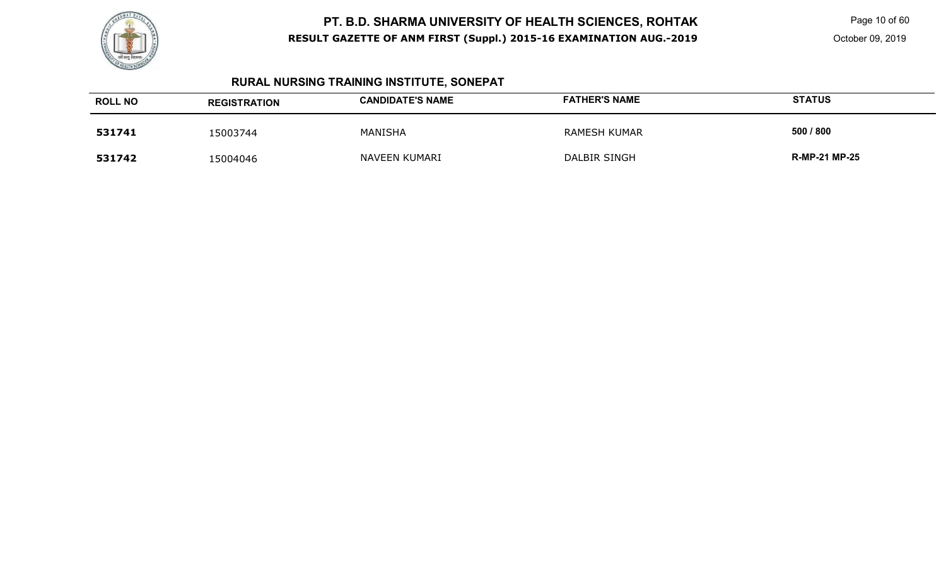

Page 10 of 60

# **RURAL NURSING TRAINING INSTITUTE, SONEPAT**

| <b>ROLL NO</b> | <b>REGISTRATION</b> | <b>CANDIDATE'S NAME</b> | <b>FATHER'S NAME</b> | <b>STATUS</b>        |
|----------------|---------------------|-------------------------|----------------------|----------------------|
| 531741         | 15003744            | <b>MANISHA</b>          | RAMESH KUMAR         | 500 / 800            |
| 531742         | 15004046            | NAVEEN KUMARI           | DALBIR SINGH         | <b>R-MP-21 MP-25</b> |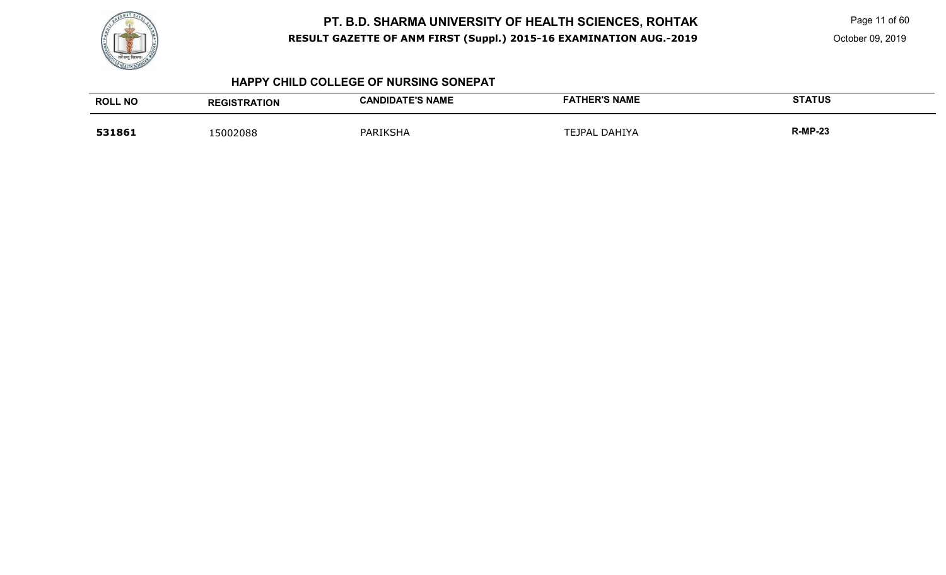

Page 11 of 60

October 09, 2019

#### **HAPPY CHILD COLLEGE OF NURSING SONEPAT**

| <b>ROLL NO</b> | <b>REGISTRATION</b> | <b>CANDIDATE'S NAME</b> | <b>FATHER'S NAME</b> | <b>STATUS</b>  |
|----------------|---------------------|-------------------------|----------------------|----------------|
| 531861         | 15002088            | PARIKSHA                | DAHIYA<br>TEJPAL     | <b>R-MP-23</b> |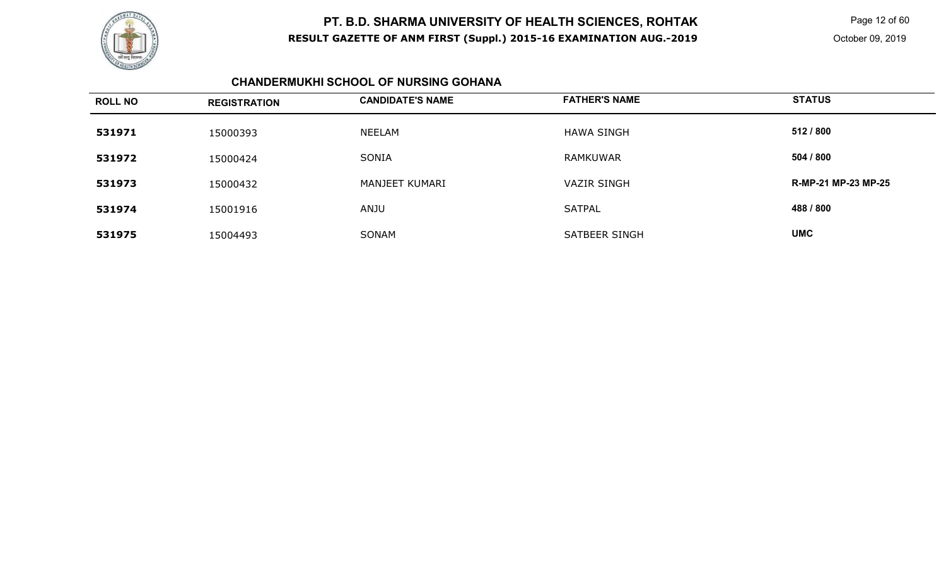

Page 12 of 60

### **CHANDERMUKHI SCHOOL OF NURSING GOHANA**

| <b>ROLL NO</b> | <b>REGISTRATION</b> | <b>CANDIDATE'S NAME</b> | <b>FATHER'S NAME</b> | <b>STATUS</b>       |
|----------------|---------------------|-------------------------|----------------------|---------------------|
| 531971         | 15000393            | NEELAM                  | HAWA SINGH           | 512 / 800           |
| 531972         | 15000424            | SONIA                   | <b>RAMKUWAR</b>      | 504 / 800           |
| 531973         | 15000432            | MANJEET KUMARI          | <b>VAZIR SINGH</b>   | R-MP-21 MP-23 MP-25 |
| 531974         | 15001916            | <b>ANJU</b>             | <b>SATPAL</b>        | 488 / 800           |
| 531975         | 15004493            | SONAM                   | SATBEER SINGH        | <b>UMC</b>          |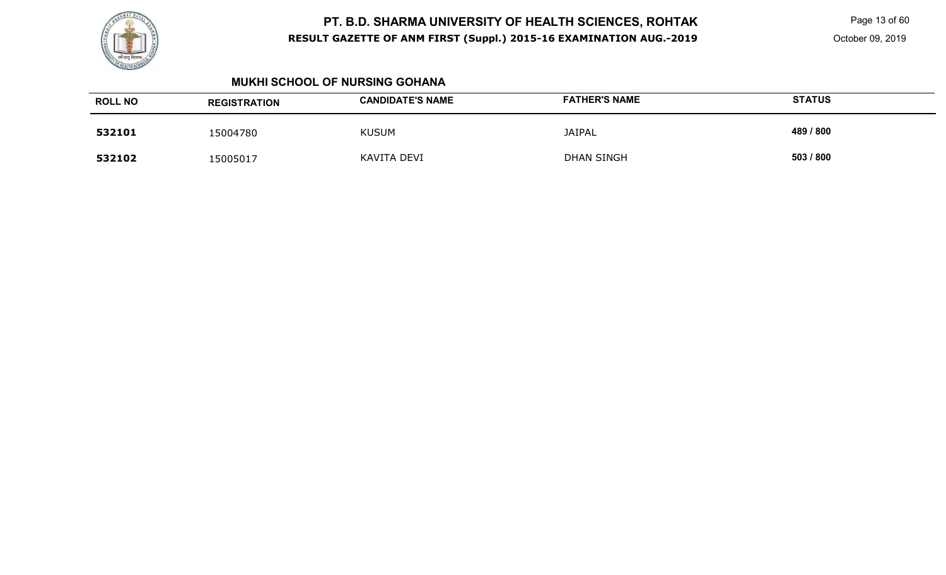

Page 13 of 60

#### **MUKHI SCHOOL OF NURSING GOHANA**

| <b>ROLL NO</b> | <b>REGISTRATION</b> | <b>CANDIDATE'S NAME</b> | <b>FATHER'S NAME</b> | <b>STATUS</b> |
|----------------|---------------------|-------------------------|----------------------|---------------|
| 532101         | 15004780            | <b>KUSUM</b>            | <b>JAIPAL</b>        | 489 / 800     |
| 532102         | 15005017            | KAVITA DEVI             | <b>DHAN SINGH</b>    | 503 / 800     |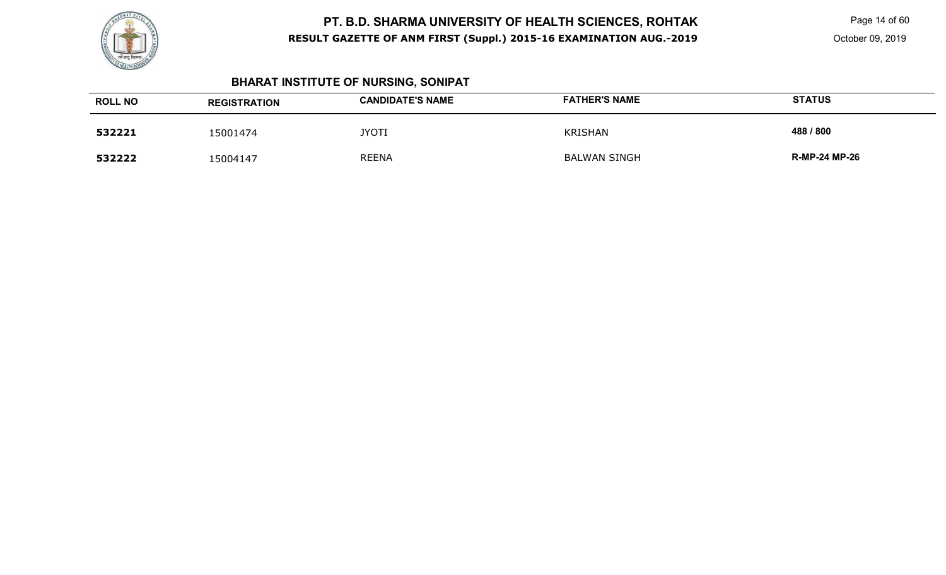

Page 14 of 60

# **BHARAT INSTITUTE OF NURSING, SONIPAT**

| <b>ROLL NO</b> | <b>REGISTRATION</b> | <b>CANDIDATE'S NAME</b> | <b>FATHER'S NAME</b> | <b>STATUS</b>        |
|----------------|---------------------|-------------------------|----------------------|----------------------|
| 532221         | 15001474            | <b>JYOTI</b>            | <b>KRISHAN</b>       | 488 / 800            |
| 532222         | 15004147            | <b>REENA</b>            | <b>BALWAN SINGH</b>  | <b>R-MP-24 MP-26</b> |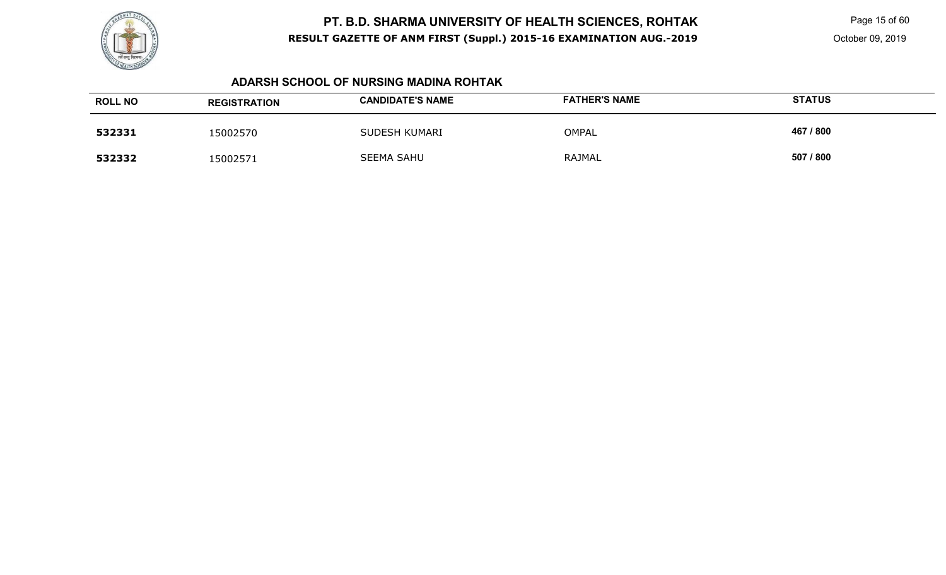

Page 15 of 60

#### **ADARSH SCHOOL OF NURSING MADINA ROHTAK**

| <b>ROLL NO</b> | <b>REGISTRATION</b> | <b>CANDIDATE'S NAME</b> | <b>FATHER'S NAME</b> | <b>STATUS</b> |
|----------------|---------------------|-------------------------|----------------------|---------------|
| 532331         | 15002570            | SUDESH KUMARI           | <b>OMPAL</b>         | 467 / 800     |
| 532332         | 15002571            | <b>SEEMA SAHU</b>       | RAJMAL               | 507 / 800     |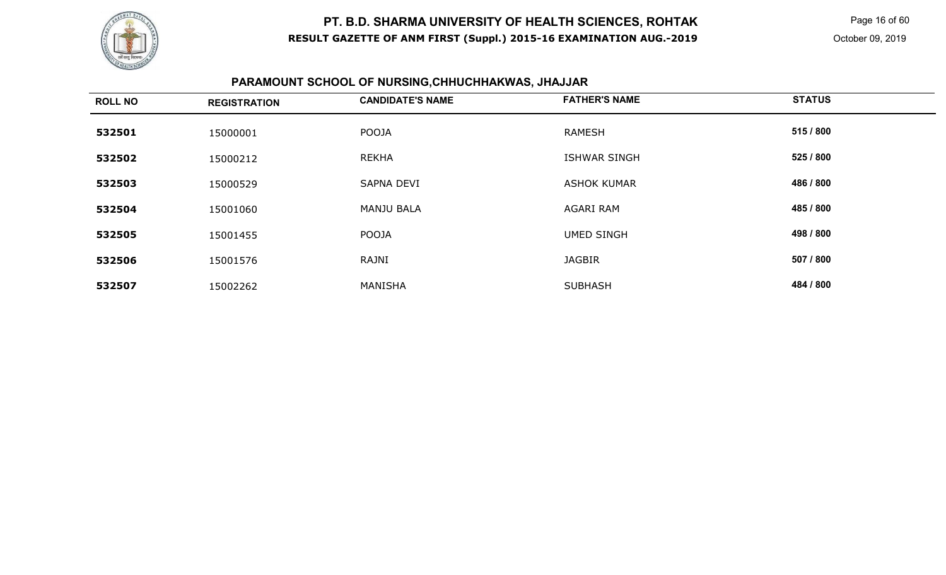

Page 16 of 60

October 09, 2019

# **PARAMOUNT SCHOOL OF NURSING,CHHUCHHAKWAS, JHAJJAR**

| <b>ROLL NO</b> | <b>REGISTRATION</b> | <b>CANDIDATE'S NAME</b> | <b>FATHER'S NAME</b> | <b>STATUS</b> |
|----------------|---------------------|-------------------------|----------------------|---------------|
| 532501         | 15000001            | POOJA                   | <b>RAMESH</b>        | 515 / 800     |
| 532502         | 15000212            | <b>REKHA</b>            | <b>ISHWAR SINGH</b>  | 525 / 800     |
| 532503         | 15000529            | <b>SAPNA DEVI</b>       | <b>ASHOK KUMAR</b>   | 486 / 800     |
| 532504         | 15001060            | <b>MANJU BALA</b>       | AGARI RAM            | 485 / 800     |
| 532505         | 15001455            | <b>POOJA</b>            | <b>UMED SINGH</b>    | 498 / 800     |
| 532506         | 15001576            | RAJNI                   | <b>JAGBIR</b>        | 507 / 800     |
| 532507         | 15002262            | MANISHA                 | <b>SUBHASH</b>       | 484 / 800     |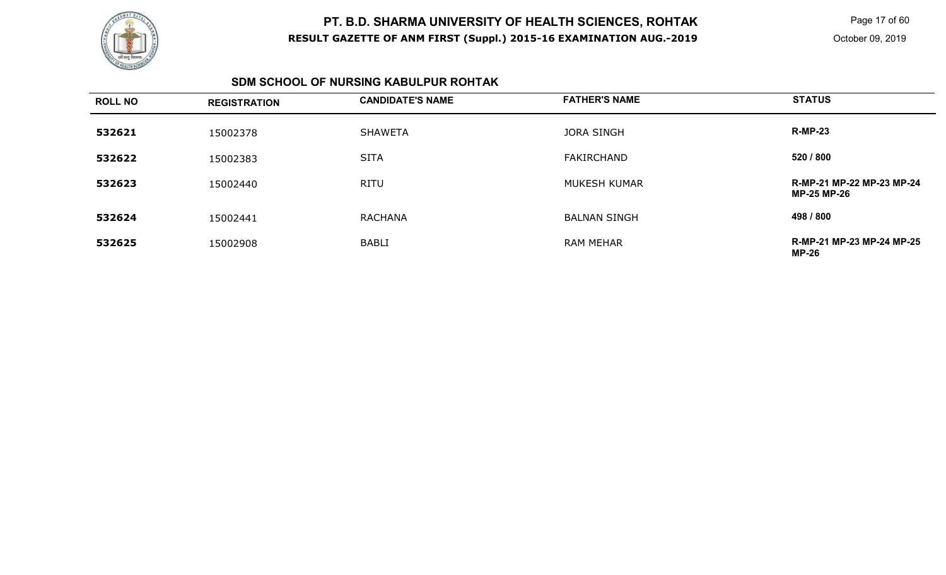

Page 17 of 60

October 09, 2019

#### **SDM SCHOOL OF NURSING KABULPUR ROHTAK**

| <b>ROLL NO</b> | <b>REGISTRATION</b> | <b>CANDIDATE'S NAME</b> | <b>FATHER'S NAME</b> | <b>STATUS</b>                                   |
|----------------|---------------------|-------------------------|----------------------|-------------------------------------------------|
| 532621         | 15002378            | <b>SHAWETA</b>          | <b>JORA SINGH</b>    | <b>R-MP-23</b>                                  |
| 532622         | 15002383            | <b>SITA</b>             | <b>FAKIRCHAND</b>    | 520 / 800                                       |
| 532623         | 15002440            | <b>RITU</b>             | <b>MUKESH KUMAR</b>  | R-MP-21 MP-22 MP-23 MP-24<br><b>MP-25 MP-26</b> |
| 532624         | 15002441            | <b>RACHANA</b>          | <b>BALNAN SINGH</b>  | 498 / 800                                       |
| 532625         | 15002908            | <b>BABLI</b>            | <b>RAM MEHAR</b>     | R-MP-21 MP-23 MP-24 MP-25<br>MP-26              |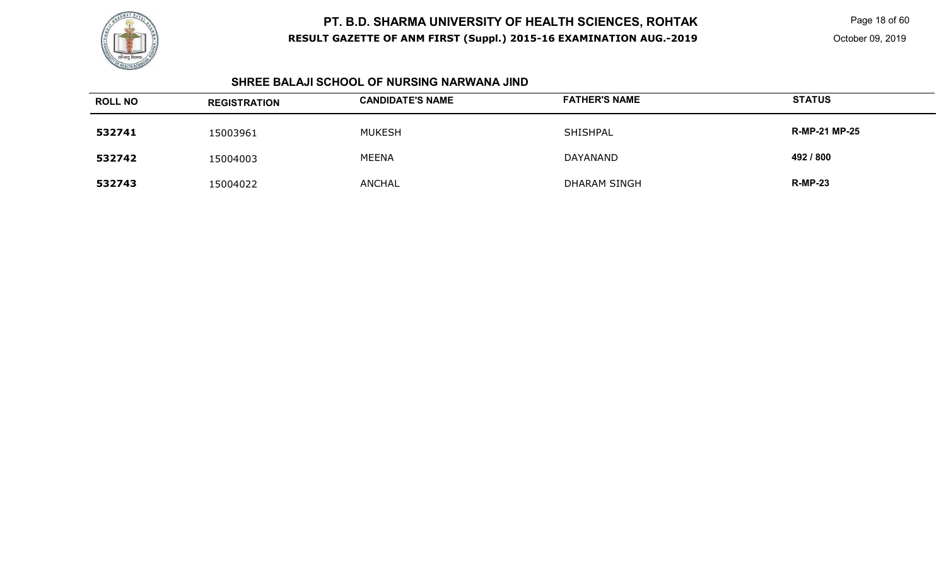

Page 18 of 60

#### **SHREE BALAJI SCHOOL OF NURSING NARWANA JIND**

| <b>ROLL NO</b> | <b>REGISTRATION</b> | <b>CANDIDATE'S NAME</b> | <b>FATHER'S NAME</b> | <b>STATUS</b>        |
|----------------|---------------------|-------------------------|----------------------|----------------------|
| 532741         | 15003961            | <b>MUKESH</b>           | SHISHPAL             | <b>R-MP-21 MP-25</b> |
| 532742         | 15004003            | <b>MEENA</b>            | DAYANAND             | 492 / 800            |
| 532743         | 15004022            | <b>ANCHAL</b>           | <b>DHARAM SINGH</b>  | <b>R-MP-23</b>       |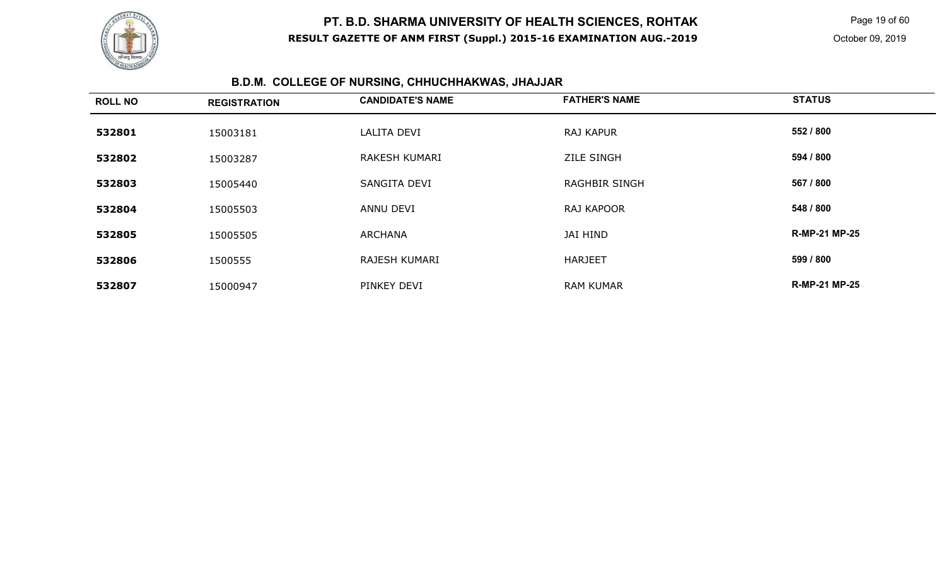

Page 19 of 60

# **B.D.M. COLLEGE OF NURSING, CHHUCHHAKWAS, JHAJJAR**

| <b>ROLL NO</b> | <b>REGISTRATION</b> | <b>CANDIDATE'S NAME</b> | <b>FATHER'S NAME</b> | <b>STATUS</b>        |
|----------------|---------------------|-------------------------|----------------------|----------------------|
| 532801         | 15003181            | LALITA DEVI             | <b>RAJ KAPUR</b>     | 552 / 800            |
| 532802         | 15003287            | <b>RAKESH KUMARI</b>    | <b>ZILE SINGH</b>    | 594 / 800            |
| 532803         | 15005440            | SANGITA DEVI            | <b>RAGHBIR SINGH</b> | 567 / 800            |
| 532804         | 15005503            | ANNU DEVI               | RAJ KAPOOR           | 548 / 800            |
| 532805         | 15005505            | ARCHANA                 | JAI HIND             | <b>R-MP-21 MP-25</b> |
| 532806         | 1500555             | <b>RAJESH KUMARI</b>    | <b>HARJEET</b>       | 599 / 800            |
| 532807         | 15000947            | PINKEY DEVI             | <b>RAM KUMAR</b>     | <b>R-MP-21 MP-25</b> |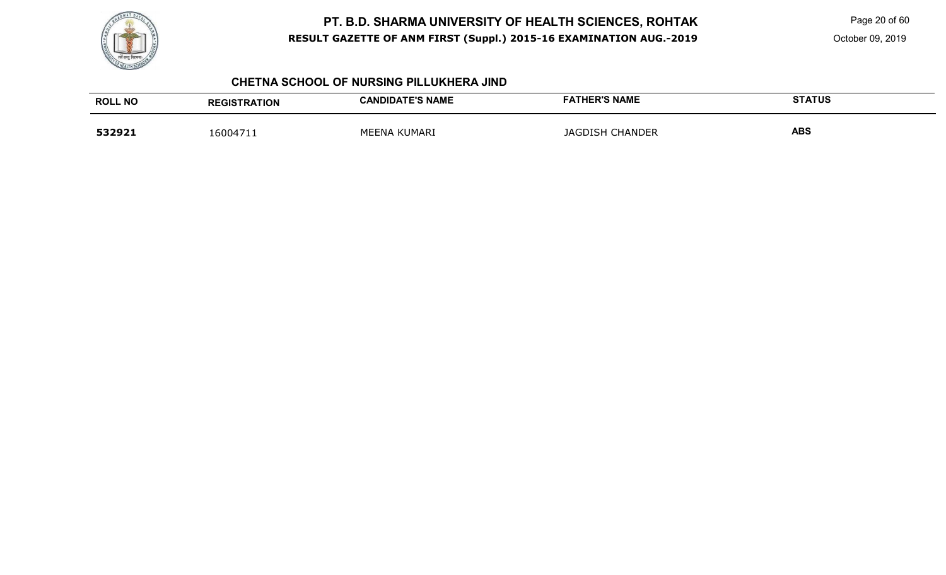

Page 20 of 60

October 09, 2019

#### **CHETNA SCHOOL OF NURSING PILLUKHERA JIND**

| <b>ROLL NO</b> | <b>REGISTRATION</b> | <b>CANDIDATE'S NAME</b> | <b>FATHER'S NAME</b> | <b>STATUS</b> |
|----------------|---------------------|-------------------------|----------------------|---------------|
| 532921         | 16004711            | MEENA KUMARI            | JAGDISH CHANDER      | <b>ABS</b>    |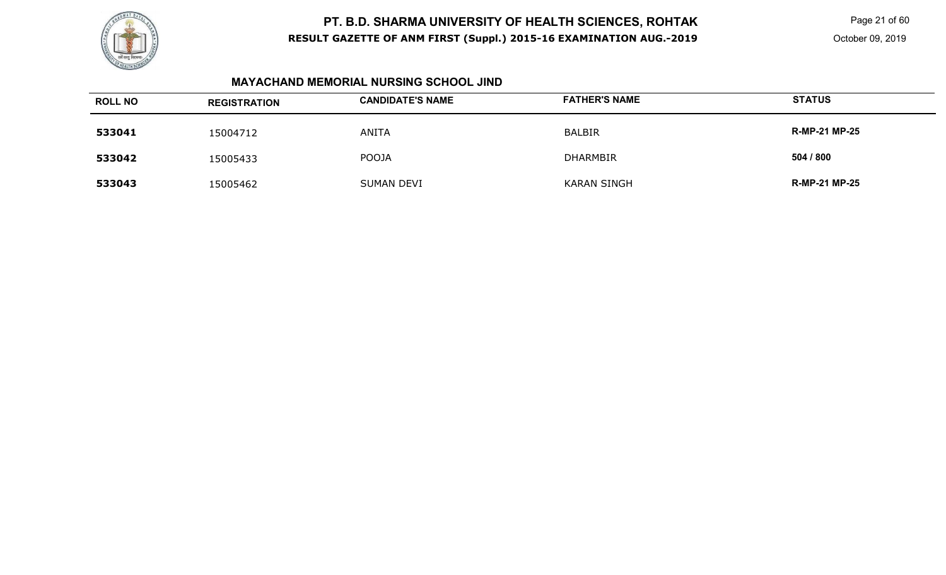

Page 21 of 60

#### **MAYACHAND MEMORIAL NURSING SCHOOL JIND**

| <b>ROLL NO</b> | <b>REGISTRATION</b> | <b>CANDIDATE'S NAME</b> | <b>FATHER'S NAME</b> | <b>STATUS</b>        |
|----------------|---------------------|-------------------------|----------------------|----------------------|
| 533041         | 15004712            | ANITA                   | <b>BALBIR</b>        | <b>R-MP-21 MP-25</b> |
| 533042         | 15005433            | <b>POOJA</b>            | <b>DHARMBIR</b>      | 504 / 800            |
| 533043         | 15005462            | <b>SUMAN DEVI</b>       | <b>KARAN SINGH</b>   | <b>R-MP-21 MP-25</b> |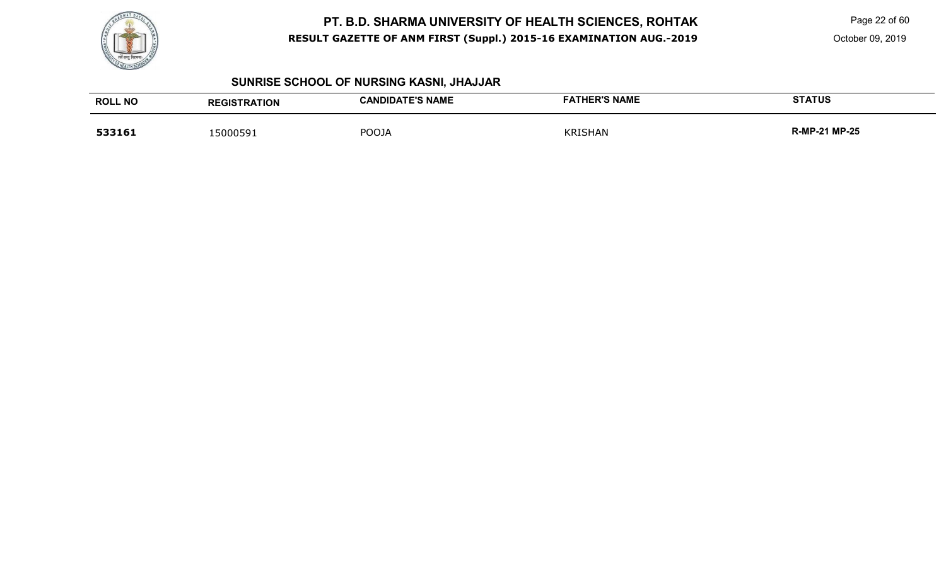

Page 22 of 60

October 09, 2019

# **SUNRISE SCHOOL OF NURSING KASNI, JHAJJAR**

| <b>ROLL NO</b> | <b>REGISTRATION</b> | <b>CANDIDATE'S NAME</b> | <b>FATHER'S NAME</b> | <b>STATUS</b>        |
|----------------|---------------------|-------------------------|----------------------|----------------------|
| 533161         | 15000591            | <b>POOJA</b>            | <b>KRISHAN</b>       | <b>R-MP-21 MP-25</b> |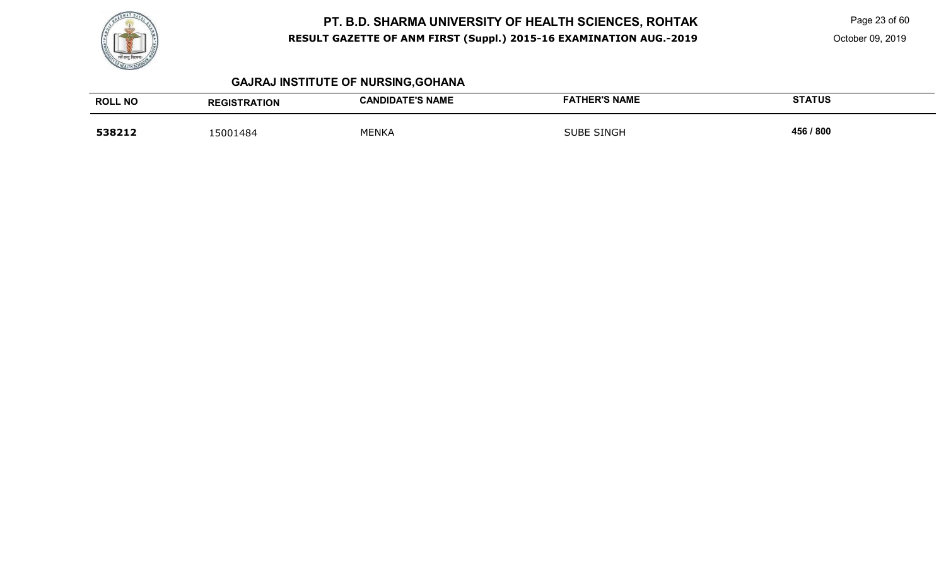

Page 23 of 60

October 09, 2019

# **GAJRAJ INSTITUTE OF NURSING,GOHANA**

| <b>ROLL NO</b> | <b>REGISTRATION</b> | <b>CANDIDATE'S NAME</b> | <b>FATHER'S NAME</b> | <b>STATUS</b> |
|----------------|---------------------|-------------------------|----------------------|---------------|
| 538212         | 15001484            | <b>MENKA</b>            | <b>SUBE SINGH</b>    | 456 / 800     |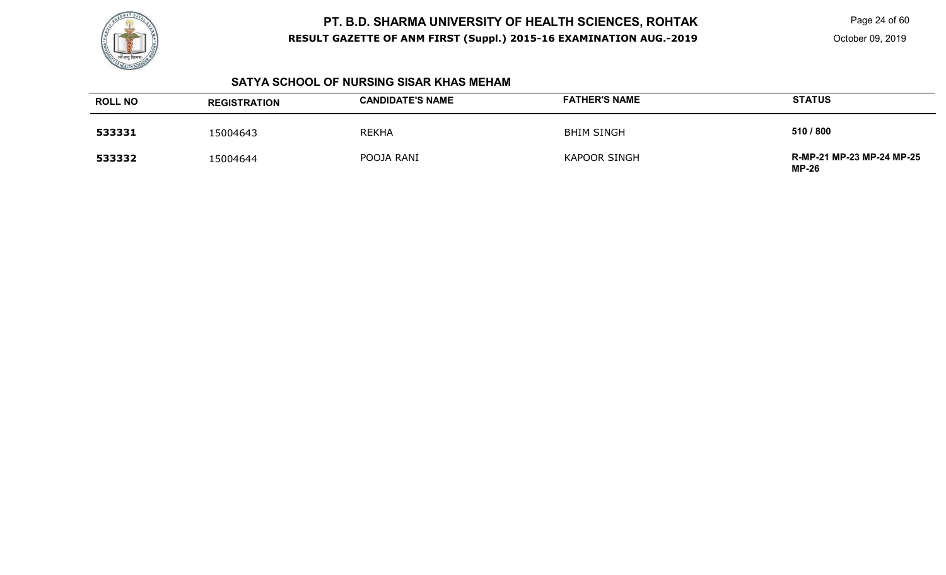

Page 24 of 60

October 09, 2019

#### **SATYA SCHOOL OF NURSING SISAR KHAS MEHAM**

| <b>ROLL NO</b> | <b>REGISTRATION</b> | <b>CANDIDATE'S NAME</b> | <b>FATHER'S NAME</b> | <b>STATUS</b>                             |
|----------------|---------------------|-------------------------|----------------------|-------------------------------------------|
| 533331         | 15004643            | <b>REKHA</b>            | <b>BHIM SINGH</b>    | 510 / 800                                 |
| 533332         | 15004644            | POOJA RANI              | <b>KAPOOR SINGH</b>  | R-MP-21 MP-23 MP-24 MP-25<br><b>MP-26</b> |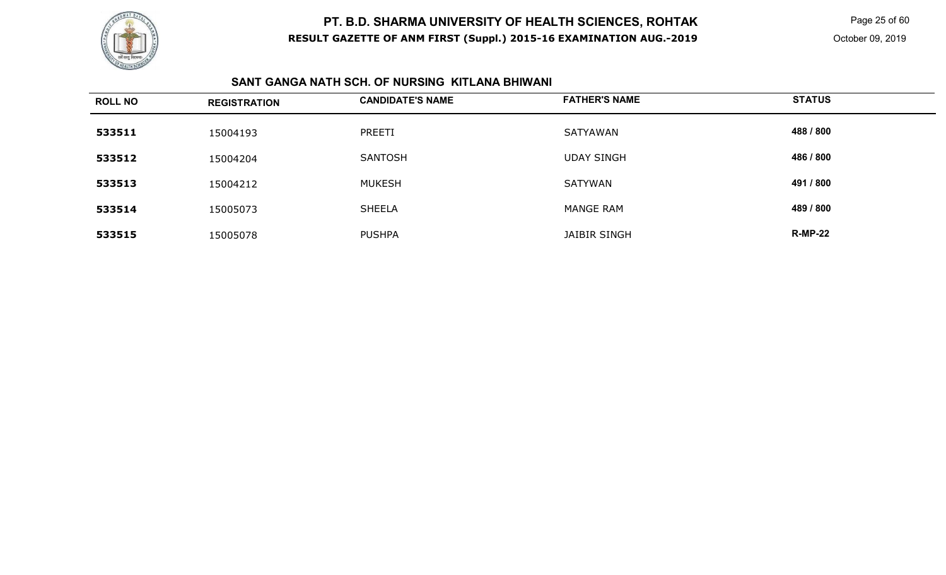

Page 25 of 60

### **SANT GANGA NATH SCH. OF NURSING KITLANA BHIWANI**

| <b>ROLL NO</b> | <b>REGISTRATION</b> | <b>CANDIDATE'S NAME</b> | <b>FATHER'S NAME</b> | <b>STATUS</b>  |
|----------------|---------------------|-------------------------|----------------------|----------------|
| 533511         | 15004193            | PREETI                  | <b>SATYAWAN</b>      | 488 / 800      |
| 533512         | 15004204            | SANTOSH                 | <b>UDAY SINGH</b>    | 486 / 800      |
| 533513         | 15004212            | <b>MUKESH</b>           | <b>SATYWAN</b>       | 491 / 800      |
| 533514         | 15005073            | <b>SHEELA</b>           | <b>MANGE RAM</b>     | 489 / 800      |
| 533515         | 15005078            | <b>PUSHPA</b>           | JAIBIR SINGH         | <b>R-MP-22</b> |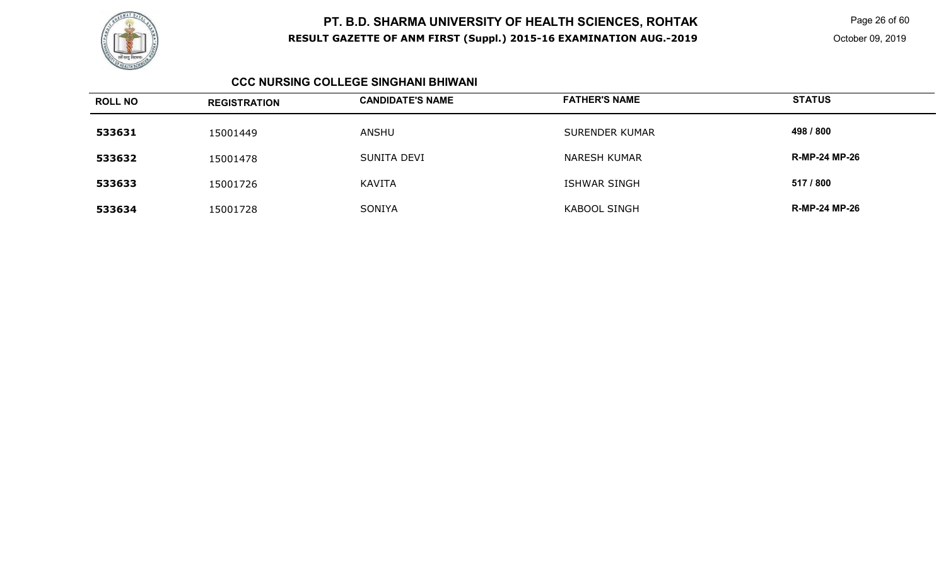

Page 26 of 60

October 09, 2019

#### **CCC NURSING COLLEGE SINGHANI BHIWANI**

| <b>ROLL NO</b> | <b>REGISTRATION</b> | <b>CANDIDATE'S NAME</b> | <b>FATHER'S NAME</b>  | <b>STATUS</b>        |
|----------------|---------------------|-------------------------|-----------------------|----------------------|
| 533631         | 15001449            | ANSHU                   | <b>SURENDER KUMAR</b> | 498 / 800            |
| 533632         | 15001478            | SUNITA DEVI             | <b>NARESH KUMAR</b>   | <b>R-MP-24 MP-26</b> |
| 533633         | 15001726            | <b>KAVITA</b>           | <b>ISHWAR SINGH</b>   | 517 / 800            |
| 533634         | 15001728            | SONIYA                  | <b>KABOOL SINGH</b>   | <b>R-MP-24 MP-26</b> |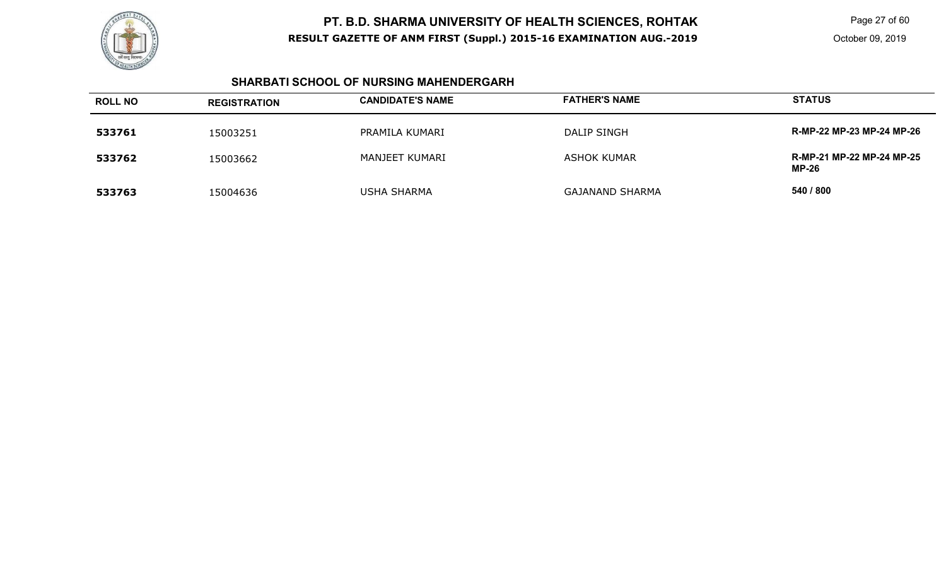

Page 27 of 60

#### **SHARBATI SCHOOL OF NURSING MAHENDERGARH**

| <b>ROLL NO</b> | <b>REGISTRATION</b> | <b>CANDIDATE'S NAME</b> | <b>FATHER'S NAME</b>   | <b>STATUS</b>                             |
|----------------|---------------------|-------------------------|------------------------|-------------------------------------------|
| 533761         | 15003251            | PRAMILA KUMARI          | <b>DALIP SINGH</b>     | R-MP-22 MP-23 MP-24 MP-26                 |
| 533762         | 15003662            | MANJEET KUMARI          | <b>ASHOK KUMAR</b>     | R-MP-21 MP-22 MP-24 MP-25<br><b>MP-26</b> |
| 533763         | 15004636            | <b>USHA SHARMA</b>      | <b>GAJANAND SHARMA</b> | 540 / 800                                 |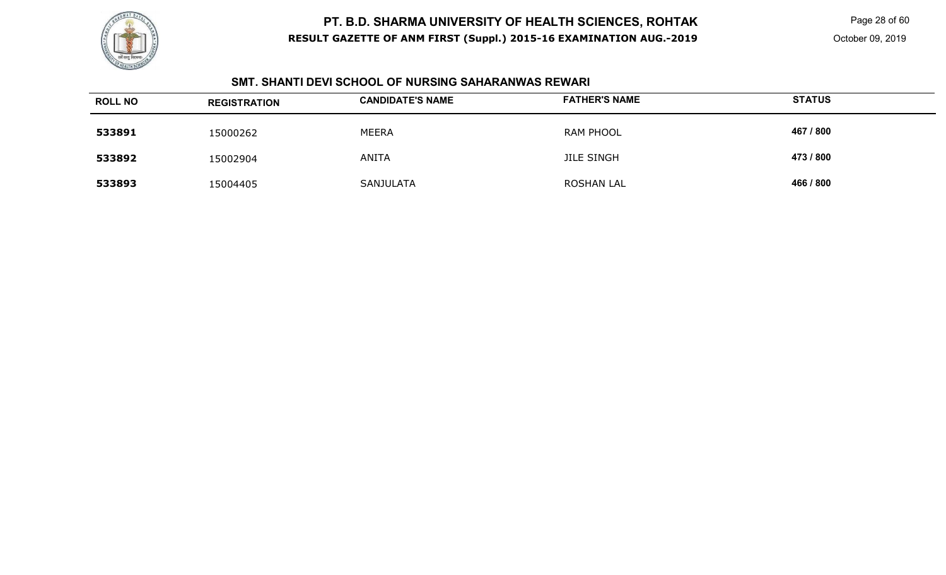

Page 28 of 60

### **SMT. SHANTI DEVI SCHOOL OF NURSING SAHARANWAS REWARI**

| <b>ROLL NO</b> | <b>REGISTRATION</b> | <b>CANDIDATE'S NAME</b> | <b>FATHER'S NAME</b> | <b>STATUS</b> |
|----------------|---------------------|-------------------------|----------------------|---------------|
| 533891         | 15000262            | <b>MEERA</b>            | RAM PHOOL            | 467 / 800     |
| 533892         | 15002904            | <b>ANITA</b>            | <b>JILE SINGH</b>    | 473 / 800     |
| 533893         | 15004405            | SANJULATA               | <b>ROSHAN LAL</b>    | 466 / 800     |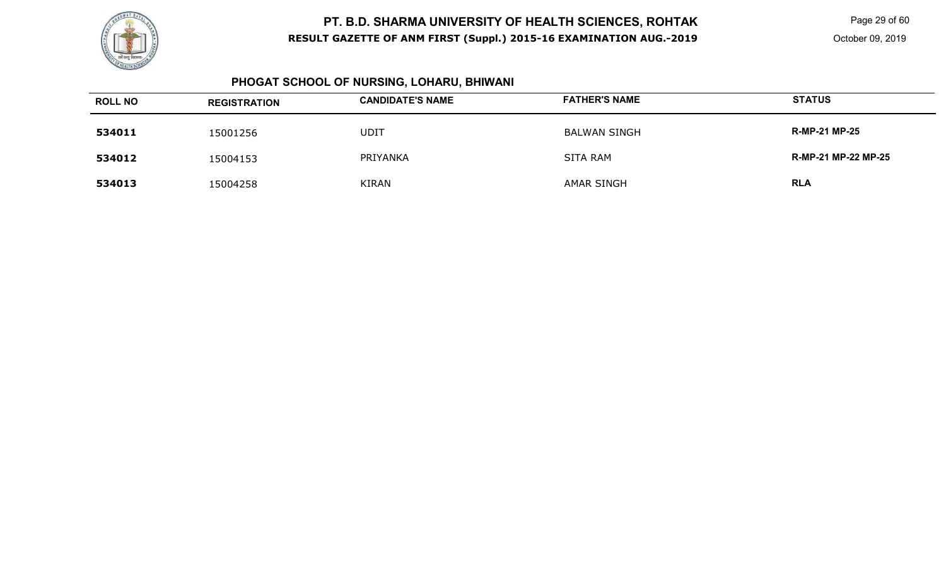

Page 29 of 60

### **PHOGAT SCHOOL OF NURSING, LOHARU, BHIWANI**

| <b>ROLL NO</b> | <b>REGISTRATION</b> | <b>CANDIDATE'S NAME</b> | <b>FATHER'S NAME</b> | <b>STATUS</b>              |
|----------------|---------------------|-------------------------|----------------------|----------------------------|
| 534011         | 15001256            | <b>UDIT</b>             | BALWAN SINGH         | <b>R-MP-21 MP-25</b>       |
| 534012         | 15004153            | PRIYANKA                | SITA RAM             | <b>R-MP-21 MP-22 MP-25</b> |
| 534013         | 15004258            | KIRAN                   | AMAR SINGH           | <b>RLA</b>                 |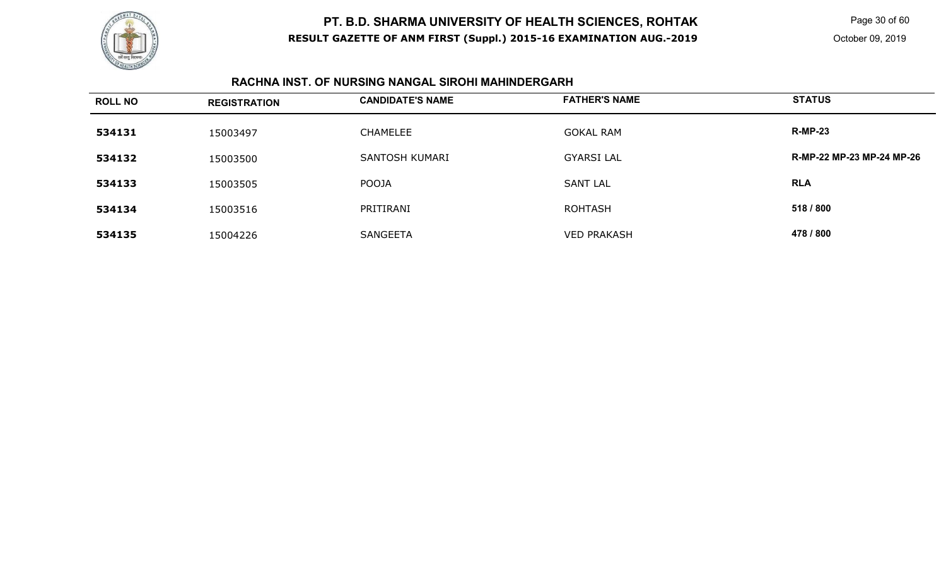

Page 30 of 60

October 09, 2019

### **RACHNA INST. OF NURSING NANGAL SIROHI MAHINDERGARH**

| <b>ROLL NO</b> | <b>REGISTRATION</b> | <b>CANDIDATE'S NAME</b> | <b>FATHER'S NAME</b> | <b>STATUS</b>             |
|----------------|---------------------|-------------------------|----------------------|---------------------------|
| 534131         | 15003497            | <b>CHAMELEE</b>         | <b>GOKAL RAM</b>     | <b>R-MP-23</b>            |
| 534132         | 15003500            | SANTOSH KUMARI          | <b>GYARSI LAL</b>    | R-MP-22 MP-23 MP-24 MP-26 |
| 534133         | 15003505            | <b>POOJA</b>            | <b>SANT LAL</b>      | <b>RLA</b>                |
| 534134         | 15003516            | PRITIRANI               | <b>ROHTASH</b>       | 518 / 800                 |
| 534135         | 15004226            | <b>SANGEETA</b>         | <b>VED PRAKASH</b>   | 478 / 800                 |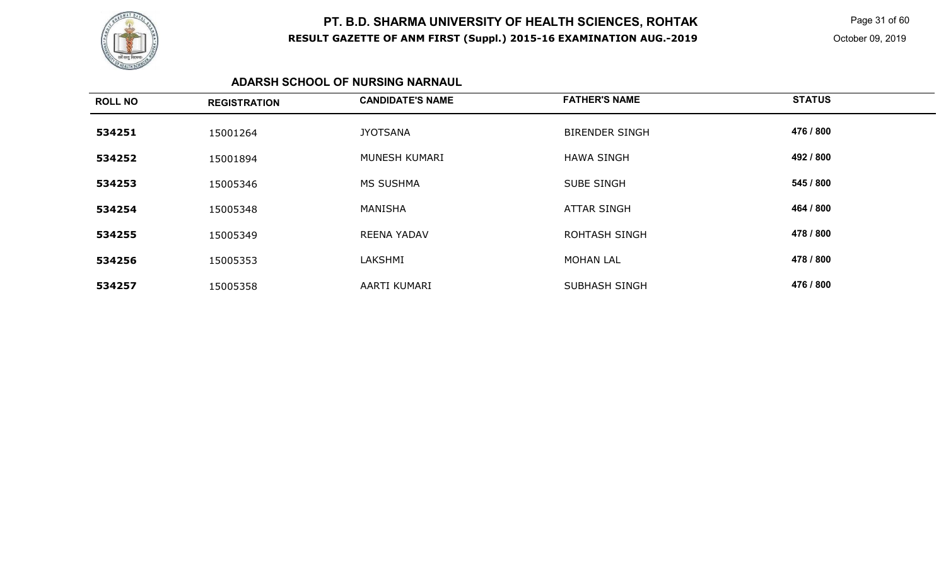

 Page 31 of 60 October 09, 2019

### **ADARSH SCHOOL OF NURSING NARNAUL**

| <b>ROLL NO</b> | <b>REGISTRATION</b> | <b>CANDIDATE'S NAME</b> | <b>FATHER'S NAME</b>  | <b>STATUS</b> |
|----------------|---------------------|-------------------------|-----------------------|---------------|
| 534251         | 15001264            | <b>JYOTSANA</b>         | <b>BIRENDER SINGH</b> | 476 / 800     |
| 534252         | 15001894            | MUNESH KUMARI           | <b>HAWA SINGH</b>     | 492 / 800     |
| 534253         | 15005346            | <b>MS SUSHMA</b>        | <b>SUBE SINGH</b>     | 545 / 800     |
| 534254         | 15005348            | MANISHA                 | <b>ATTAR SINGH</b>    | 464 / 800     |
| 534255         | 15005349            | <b>REENA YADAV</b>      | <b>ROHTASH SINGH</b>  | 478 / 800     |
| 534256         | 15005353            | LAKSHMI                 | <b>MOHAN LAL</b>      | 478 / 800     |
| 534257         | 15005358            | AARTI KUMARI            | <b>SUBHASH SINGH</b>  | 476 / 800     |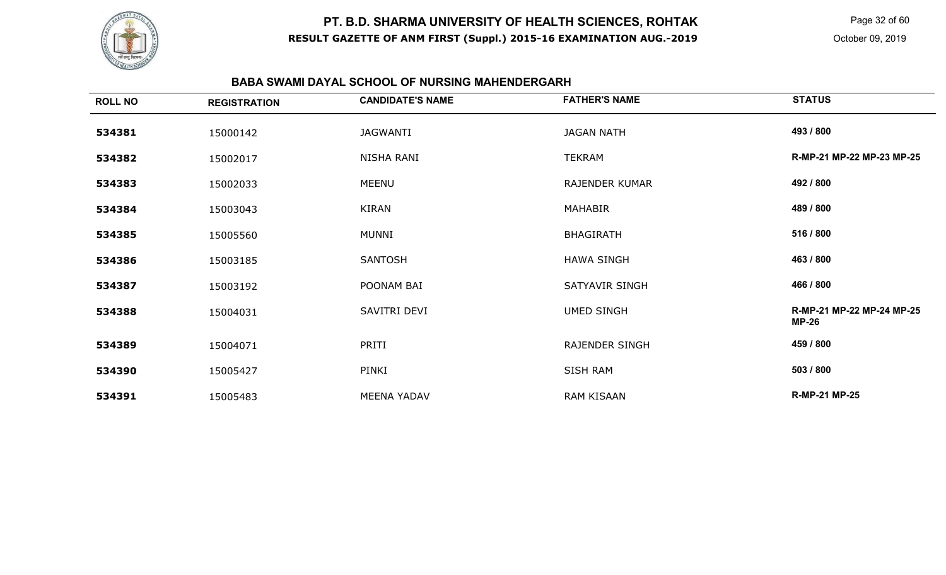

Page 32 of 60

#### **BABA SWAMI DAYAL SCHOOL OF NURSING MAHENDERGARH**

| <b>ROLL NO</b> | <b>REGISTRATION</b> | <b>CANDIDATE'S NAME</b> | <b>FATHER'S NAME</b>  | <b>STATUS</b>                             |
|----------------|---------------------|-------------------------|-----------------------|-------------------------------------------|
| 534381         | 15000142            | JAGWANTI                | <b>JAGAN NATH</b>     | 493 / 800                                 |
| 534382         | 15002017            | NISHA RANI              | TEKRAM                | R-MP-21 MP-22 MP-23 MP-25                 |
| 534383         | 15002033            | MEENU                   | <b>RAJENDER KUMAR</b> | 492 / 800                                 |
| 534384         | 15003043            | KIRAN                   | MAHABIR               | 489 / 800                                 |
| 534385         | 15005560            | <b>MUNNI</b>            | <b>BHAGIRATH</b>      | 516 / 800                                 |
| 534386         | 15003185            | <b>SANTOSH</b>          | <b>HAWA SINGH</b>     | 463 / 800                                 |
| 534387         | 15003192            | POONAM BAI              | SATYAVIR SINGH        | 466 / 800                                 |
| 534388         | 15004031            | SAVITRI DEVI            | <b>UMED SINGH</b>     | R-MP-21 MP-22 MP-24 MP-25<br><b>MP-26</b> |
| 534389         | 15004071            | PRITI                   | <b>RAJENDER SINGH</b> | 459 / 800                                 |
| 534390         | 15005427            | PINKI                   | SISH RAM              | 503 / 800                                 |
| 534391         | 15005483            | <b>MEENA YADAV</b>      | RAM KISAAN            | <b>R-MP-21 MP-25</b>                      |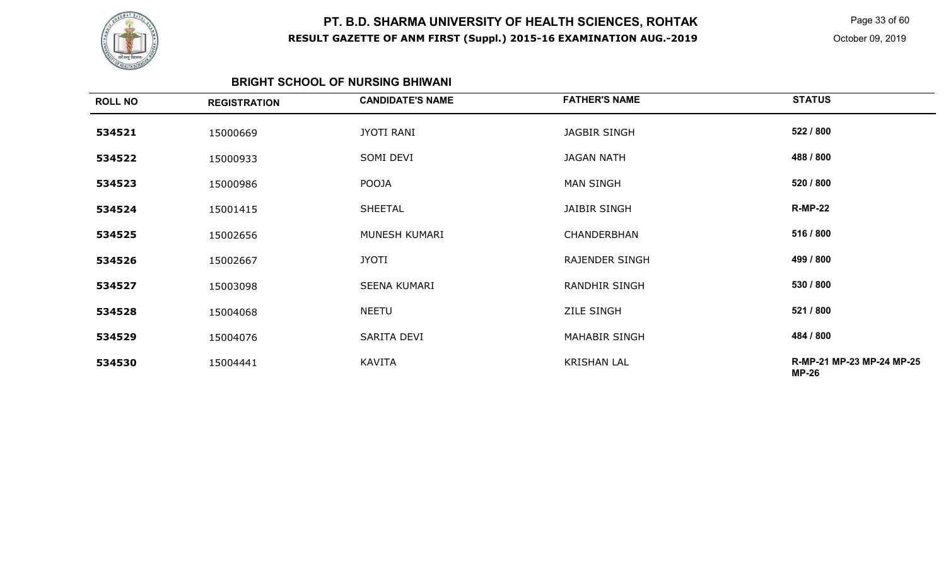

Page 33 of 60

October 09, 2019

### **BRIGHT SCHOOL OF NURSING BHIWANI**

| <b>ROLL NO</b> | <b>REGISTRATION</b> | <b>CANDIDATE'S NAME</b> | <b>FATHER'S NAME</b> | <b>STATUS</b>                             |
|----------------|---------------------|-------------------------|----------------------|-------------------------------------------|
| 534521         | 15000669            | <b>JYOTI RANI</b>       | <b>JAGBIR SINGH</b>  | 522 / 800                                 |
| 534522         | 15000933            | SOMI DEVI               | <b>JAGAN NATH</b>    | 488 / 800                                 |
| 534523         | 15000986            | POOJA                   | <b>MAN SINGH</b>     | 520 / 800                                 |
| 534524         | 15001415            | <b>SHEETAL</b>          | <b>JAIBIR SINGH</b>  | <b>R-MP-22</b>                            |
| 534525         | 15002656            | MUNESH KUMARI           | CHANDERBHAN          | 516 / 800                                 |
| 534526         | 15002667            | JYOTI                   | RAJENDER SINGH       | 499 / 800                                 |
| 534527         | 15003098            | <b>SEENA KUMARI</b>     | <b>RANDHIR SINGH</b> | 530 / 800                                 |
| 534528         | 15004068            | <b>NEETU</b>            | <b>ZILE SINGH</b>    | 521 / 800                                 |
| 534529         | 15004076            | SARITA DEVI             | <b>MAHABIR SINGH</b> | 484 / 800                                 |
| 534530         | 15004441            | <b>KAVITA</b>           | <b>KRISHAN LAL</b>   | R-MP-21 MP-23 MP-24 MP-25<br><b>MP-26</b> |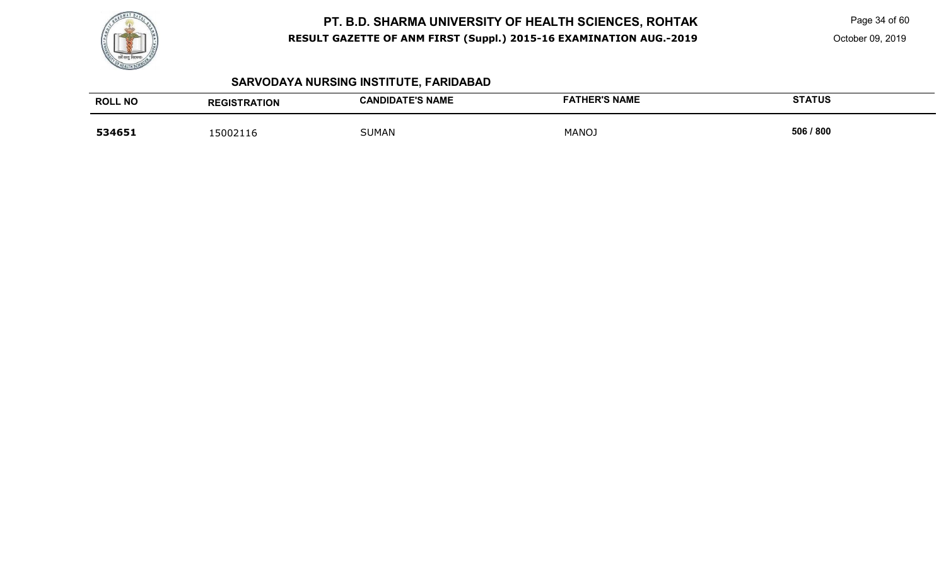

Page 34 of 60

October 09, 2019

# **SARVODAYA NURSING INSTITUTE, FARIDABAD**

| <b>ROLL NO</b> | <b>REGISTRATION</b> | <b>CANDIDATE'S NAME</b> | <b>FATHER'S NAME</b> | <b>STATUS</b> |
|----------------|---------------------|-------------------------|----------------------|---------------|
| 534651         | 15002116            | <b>SUMAN</b>            | <b>MANOJ</b>         | 506 / 800     |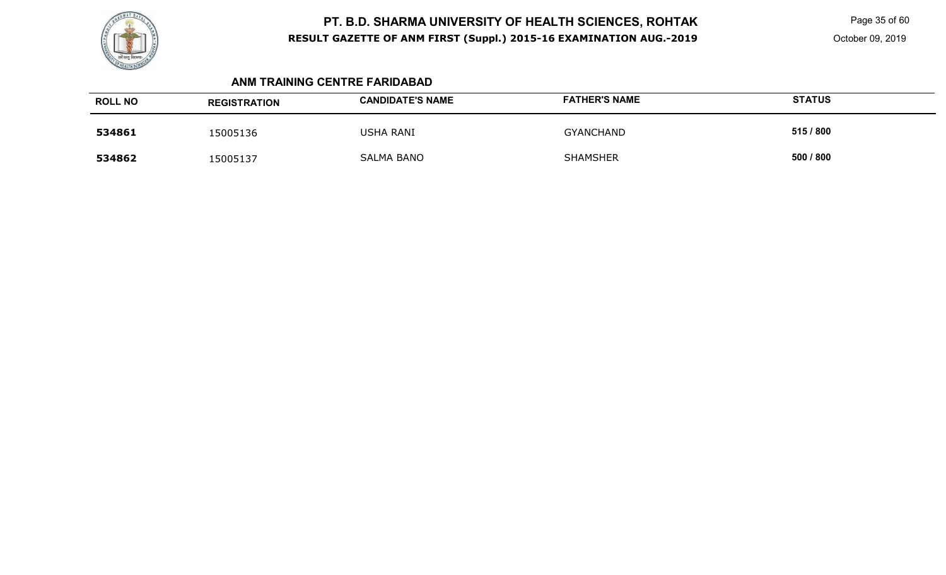

Page 35 of 60

#### **ANM TRAINING CENTRE FARIDABAD**

| <b>ROLL NO</b> | <b>REGISTRATION</b> | <b>CANDIDATE'S NAME</b> | <b>FATHER'S NAME</b> | <b>STATUS</b> |
|----------------|---------------------|-------------------------|----------------------|---------------|
| 534861         | 15005136            | <b>USHA RANI</b>        | <b>GYANCHAND</b>     | 515 / 800     |
| 534862         | 15005137            | <b>SALMA BANO</b>       | <b>SHAMSHER</b>      | 500 / 800     |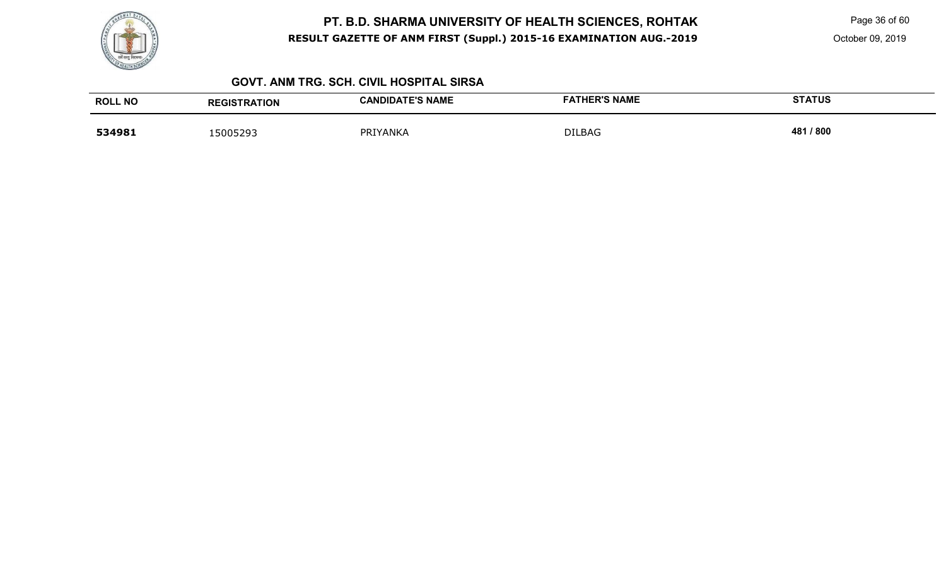

Page 36 of 60

October 09, 2019

#### **GOVT. ANM TRG. SCH. CIVIL HOSPITAL SIRSA**

| <b>ROLL NO</b> | <b>REGISTRATION</b> | <b>CANDIDATE'S NAME</b> | <b>FATHER'S NAME</b> | <b>STATUS</b> |
|----------------|---------------------|-------------------------|----------------------|---------------|
| 534981         | 15005293            | PRIYANKA                | <b>DILBAG</b>        | /800<br>481   |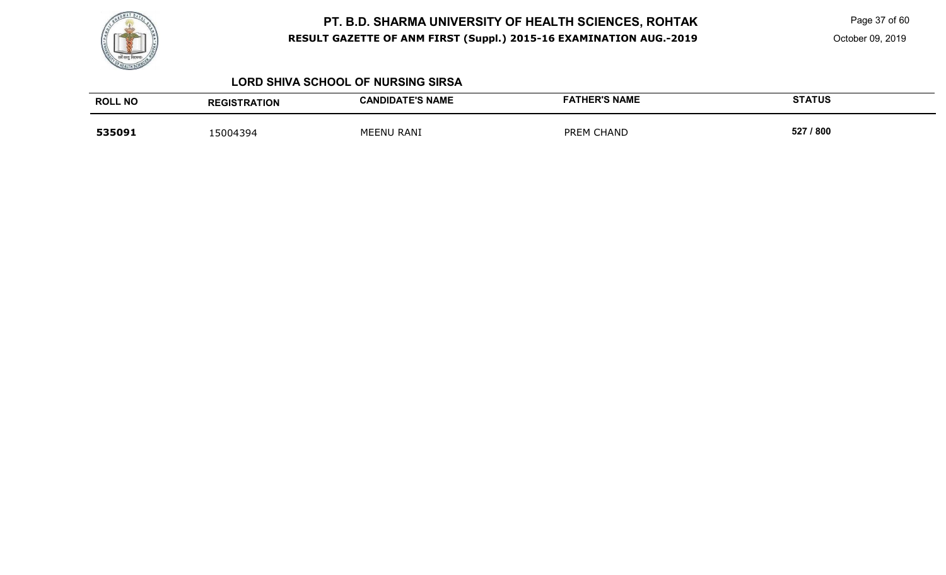

Page 37 of 60

October 09, 2019

#### **LORD SHIVA SCHOOL OF NURSING SIRSA**

| <b>ROLL NO</b> | <b>REGISTRATION</b> | <b>CANDIDATE'S NAME</b> | <b>FATHER'S NAME</b>        | <b>STATUS</b> |
|----------------|---------------------|-------------------------|-----------------------------|---------------|
| 535091         | 15004394            | MEENU RANI              | <b>CHAND</b><br><b>PREM</b> | 527 / 800     |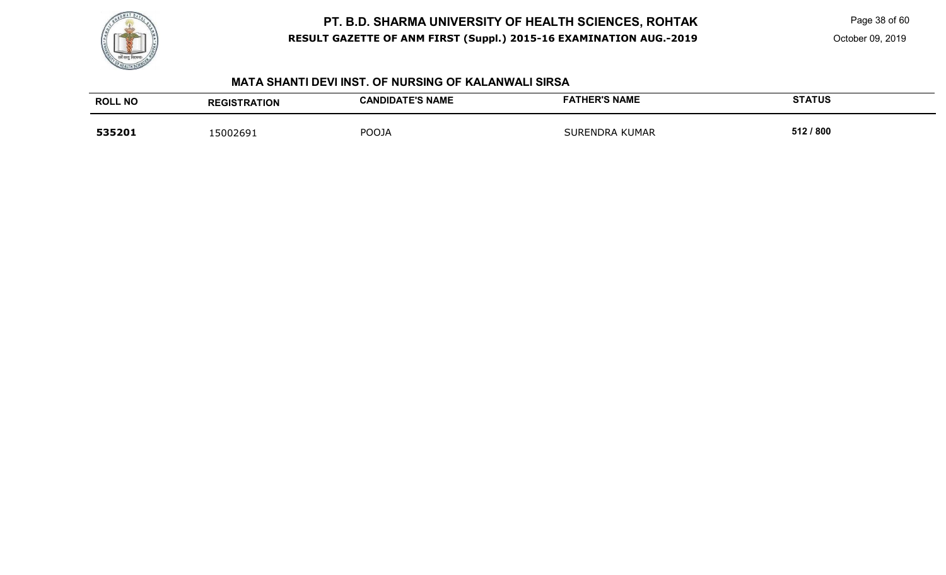

Page 38 of 60

October 09, 2019

#### **MATA SHANTI DEVI INST. OF NURSING OF KALANWALI SIRSA**

| <b>ROLL NO</b> | <b>REGISTRATION</b> | <b>CANDIDATE'S NAME</b> | <b>FATHER'S NAME</b>  | <b>STATUS</b> |
|----------------|---------------------|-------------------------|-----------------------|---------------|
| 535201         | 15002691            | <b>POOJA</b>            | <b>SURENDRA KUMAR</b> | 512 / 800     |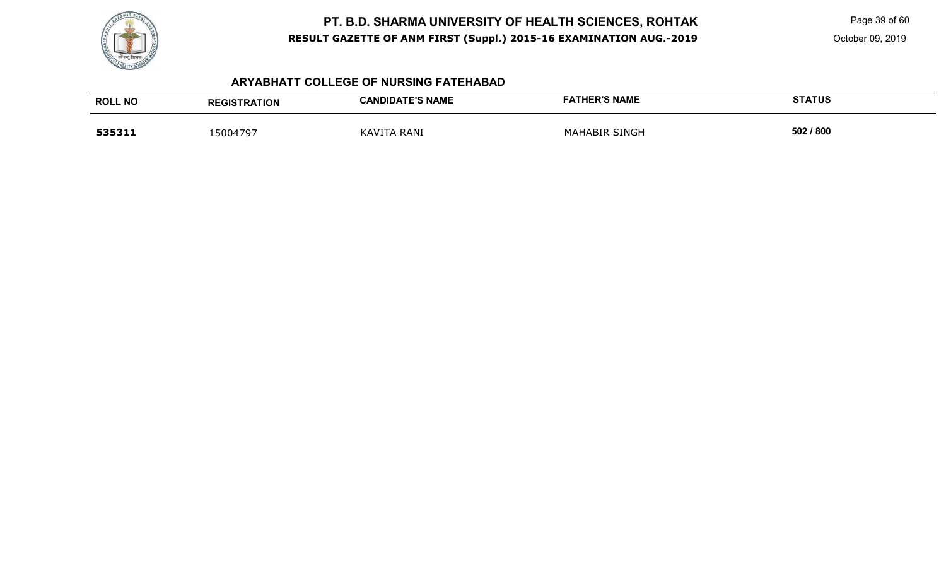

Page 39 of 60

October 09, 2019

#### **ARYABHATT COLLEGE OF NURSING FATEHABAD**

| <b>ROLL NO</b> | <b>REGISTRATION</b> | <b>CANDIDATE'S NAME</b>         | <b>FATHER'S NAME</b> | <b>STATUS</b> |
|----------------|---------------------|---------------------------------|----------------------|---------------|
| 535311         | 15004797            | <b>RANI</b><br><b>KAVI</b><br>∸ | SINGH<br>MAHABIR     | 502 / 800     |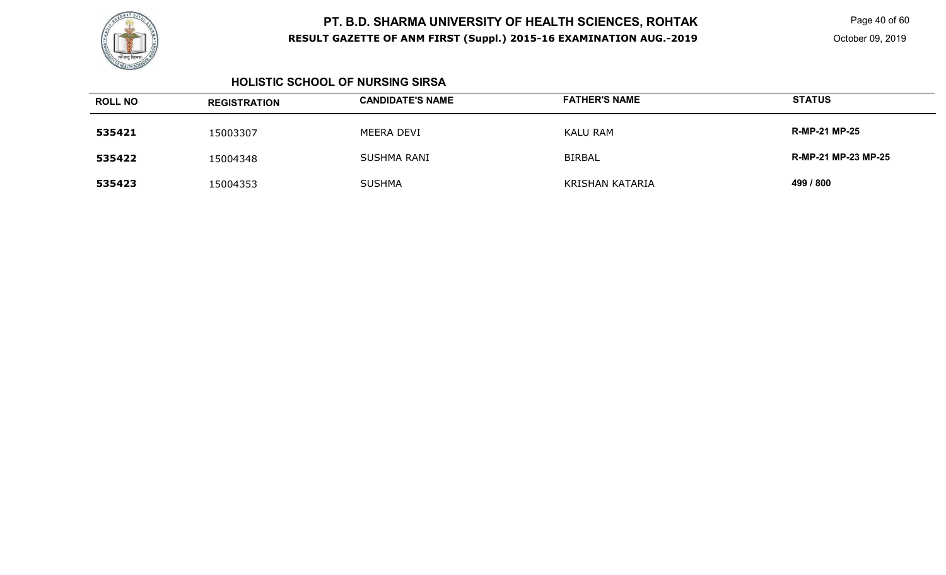

Page 40 of 60

#### **HOLISTIC SCHOOL OF NURSING SIRSA**

| <b>ROLL NO</b> | <b>REGISTRATION</b> | <b>CANDIDATE'S NAME</b> | <b>FATHER'S NAME</b> | <b>STATUS</b>              |
|----------------|---------------------|-------------------------|----------------------|----------------------------|
| 535421         | 15003307            | MEERA DEVI              | <b>KALU RAM</b>      | <b>R-MP-21 MP-25</b>       |
| 535422         | 15004348            | SUSHMA RANI             | <b>BIRBAL</b>        | <b>R-MP-21 MP-23 MP-25</b> |
| 535423         | 15004353            | <b>SUSHMA</b>           | KRISHAN KATARIA      | 499 / 800                  |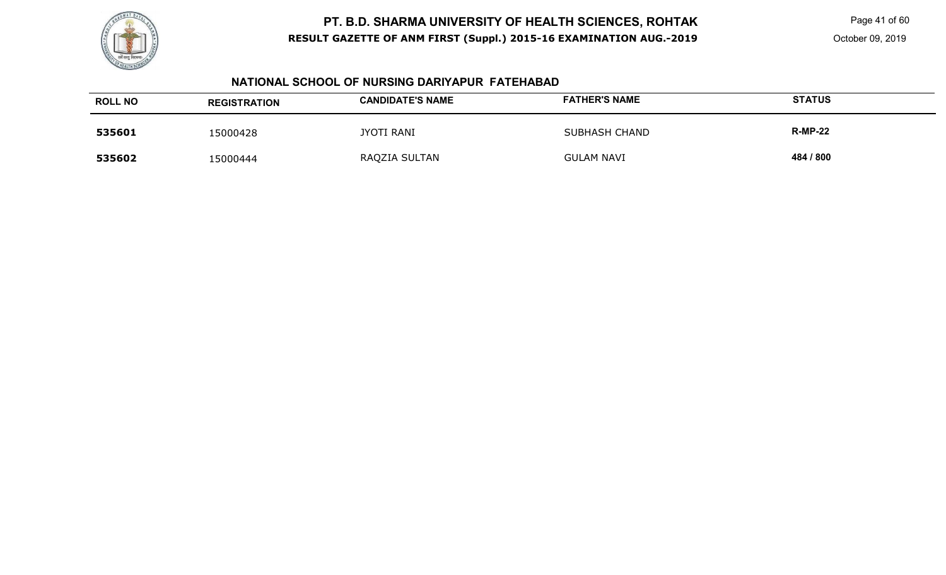

Page 41 of 60

#### **NATIONAL SCHOOL OF NURSING DARIYAPUR FATEHABAD**

| <b>ROLL NO</b> | <b>REGISTRATION</b> | <b>CANDIDATE'S NAME</b> | <b>FATHER'S NAME</b> | <b>STATUS</b>  |
|----------------|---------------------|-------------------------|----------------------|----------------|
| 535601         | 15000428            | <b>JYOTI RANI</b>       | <b>SUBHASH CHAND</b> | <b>R-MP-22</b> |
| 535602         | 15000444            | RAQZIA SULTAN           | <b>GULAM NAVI</b>    | 484 / 800      |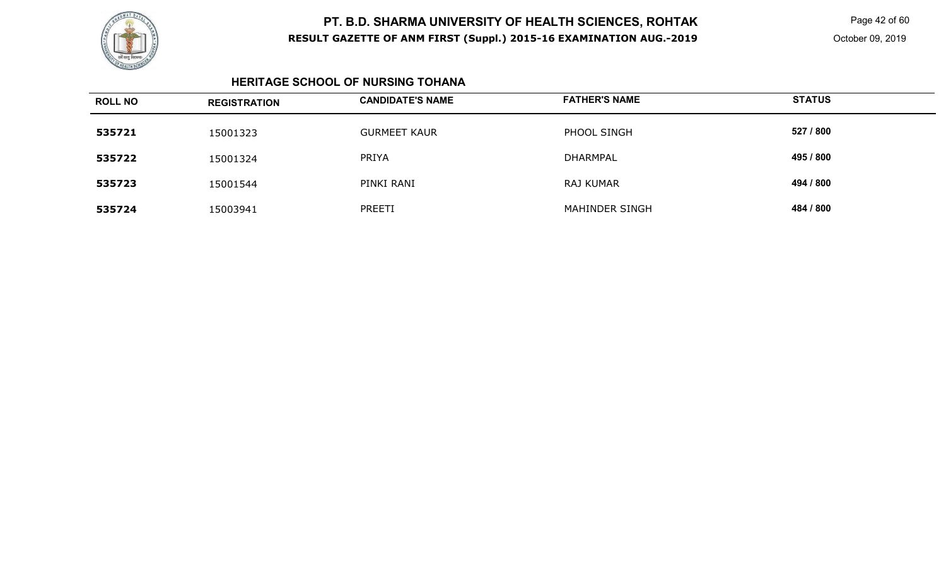

Page 42 of 60

#### **HERITAGE SCHOOL OF NURSING TOHANA**

| <b>ROLL NO</b> | <b>REGISTRATION</b> | <b>CANDIDATE'S NAME</b> | <b>FATHER'S NAME</b> | <b>STATUS</b> |
|----------------|---------------------|-------------------------|----------------------|---------------|
| 535721         | 15001323            | <b>GURMEET KAUR</b>     | PHOOL SINGH          | 527 / 800     |
| 535722         | 15001324            | PRIYA                   | <b>DHARMPAL</b>      | 495 / 800     |
| 535723         | 15001544            | PINKI RANI              | RAJ KUMAR            | 494 / 800     |
| 535724         | 15003941            | PREETI                  | MAHINDER SINGH       | 484 / 800     |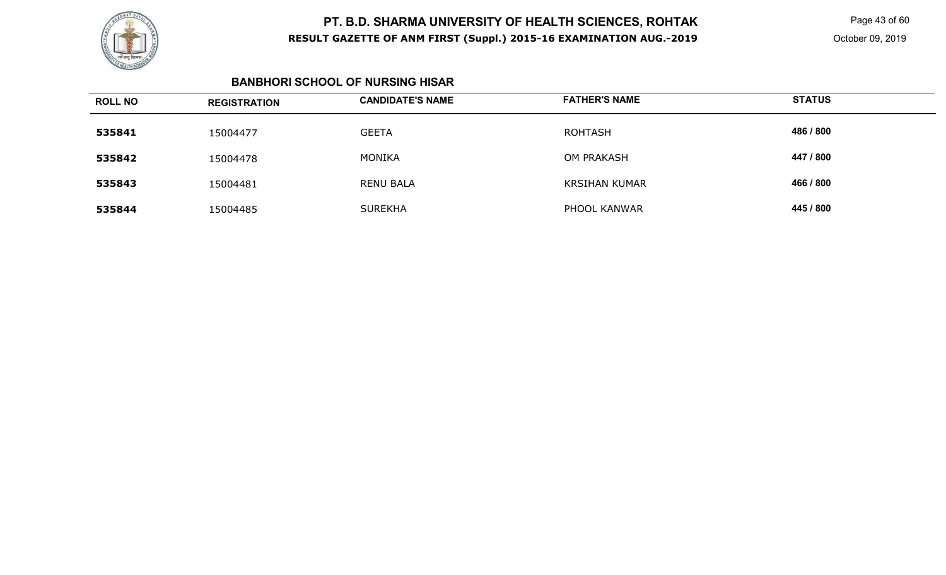

Page 43 of 60

#### **BANBHORI SCHOOL OF NURSING HISAR**

| <b>ROLL NO</b> | <b>REGISTRATION</b> | <b>CANDIDATE'S NAME</b> | <b>FATHER'S NAME</b> | <b>STATUS</b> |
|----------------|---------------------|-------------------------|----------------------|---------------|
| 535841         | 15004477            | <b>GEETA</b>            | <b>ROHTASH</b>       | 486 / 800     |
| 535842         | 15004478            | MONIKA                  | <b>OM PRAKASH</b>    | 447 / 800     |
| 535843         | 15004481            | <b>RENU BALA</b>        | <b>KRSIHAN KUMAR</b> | 466 / 800     |
| 535844         | 15004485            | <b>SUREKHA</b>          | PHOOL KANWAR         | 445 / 800     |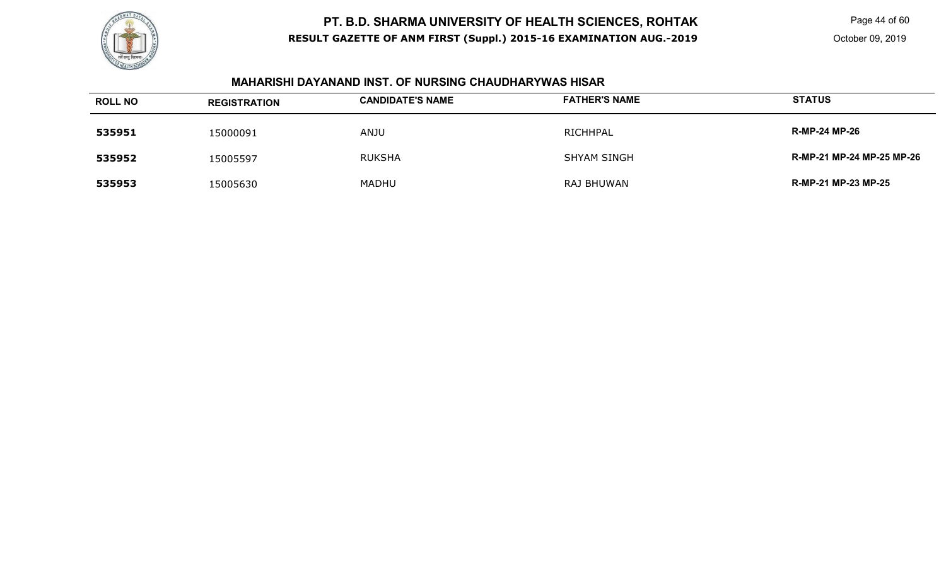

Page 44 of 60

### **MAHARISHI DAYANAND INST. OF NURSING CHAUDHARYWAS HISAR**

| <b>ROLL NO</b> | <b>REGISTRATION</b> | <b>CANDIDATE'S NAME</b> | <b>FATHER'S NAME</b> | <b>STATUS</b>              |
|----------------|---------------------|-------------------------|----------------------|----------------------------|
| 535951         | 15000091            | ANJU                    | RICHHPAL             | <b>R-MP-24 MP-26</b>       |
| 535952         | 15005597            | <b>RUKSHA</b>           | <b>SHYAM SINGH</b>   | R-MP-21 MP-24 MP-25 MP-26  |
| 535953         | 15005630            | <b>MADHU</b>            | RAJ BHUWAN           | <b>R-MP-21 MP-23 MP-25</b> |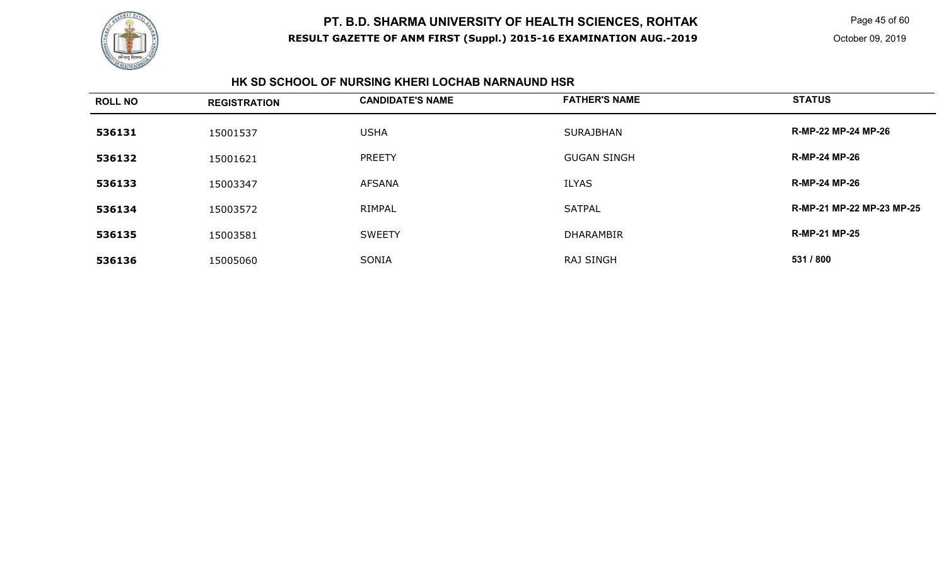

Page 45 of 60

#### **HK SD SCHOOL OF NURSING KHERI LOCHAB NARNAUND HSR**

| <b>ROLL NO</b> | <b>REGISTRATION</b> | <b>CANDIDATE'S NAME</b> | <b>FATHER'S NAME</b> | <b>STATUS</b>             |
|----------------|---------------------|-------------------------|----------------------|---------------------------|
| 536131         | 15001537            | <b>USHA</b>             | <b>SURAJBHAN</b>     | R-MP-22 MP-24 MP-26       |
| 536132         | 15001621            | <b>PREETY</b>           | <b>GUGAN SINGH</b>   | <b>R-MP-24 MP-26</b>      |
| 536133         | 15003347            | <b>AFSANA</b>           | <b>ILYAS</b>         | <b>R-MP-24 MP-26</b>      |
| 536134         | 15003572            | RIMPAL                  | <b>SATPAL</b>        | R-MP-21 MP-22 MP-23 MP-25 |
| 536135         | 15003581            | <b>SWEETY</b>           | <b>DHARAMBIR</b>     | <b>R-MP-21 MP-25</b>      |
| 536136         | 15005060            | <b>SONIA</b>            | <b>RAJ SINGH</b>     | 531 / 800                 |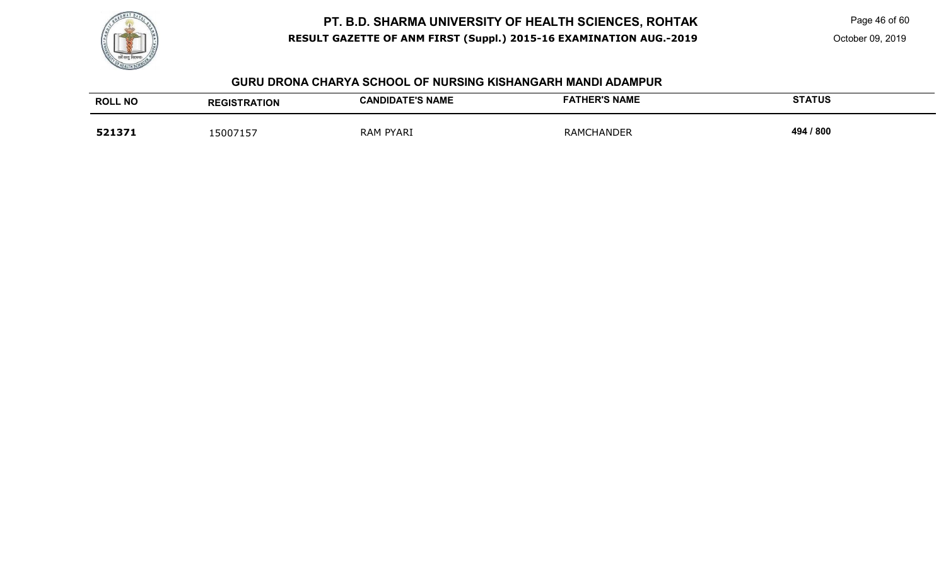

Page 46 of 60

October 09, 2019

#### **GURU DRONA CHARYA SCHOOL OF NURSING KISHANGARH MANDI ADAMPUR**

| <b>ROLL NO</b> | <b>REGISTRATION</b> | <b>CANDIDATE'S NAME</b> | <b>FATHER'S NAME</b> | <b>STATUS</b> |
|----------------|---------------------|-------------------------|----------------------|---------------|
| 521371         | 15007157            | PYARI<br>RAM            | <b>RAMCHANDER</b>    | 494 / 800     |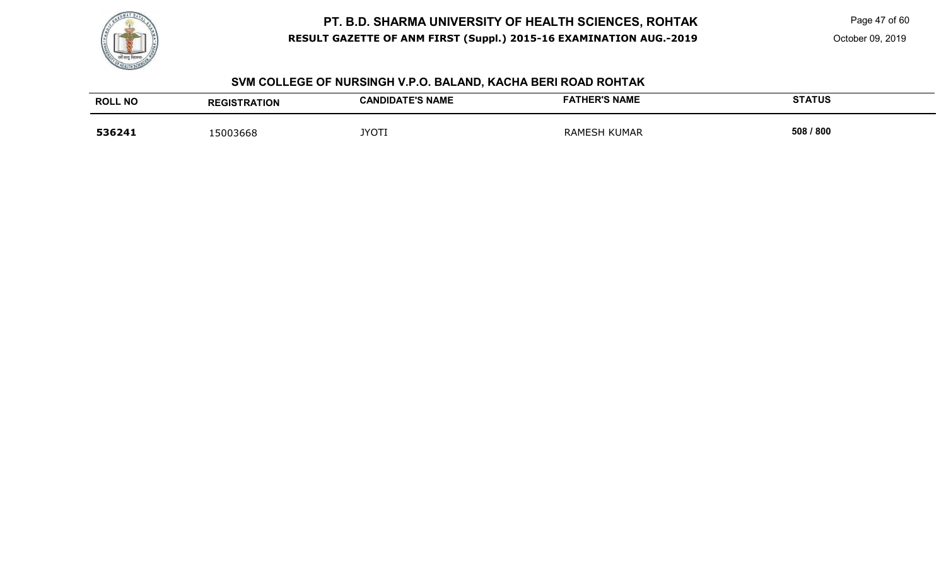

Page 47 of 60

#### **SVM COLLEGE OF NURSINGH V.P.O. BALAND, KACHA BERI ROAD ROHTAK**

| <b>ROLL NO</b> | <b>REGISTRATION</b> | <b>CANDIDATE'S NAME</b> | <b>FATHER'S NAME</b> | <b>STATUS</b> |
|----------------|---------------------|-------------------------|----------------------|---------------|
| 536241         | 5003668             | <b>JYOTI</b>            | ' KUMAR<br>RAMESH    | 508 / 800     |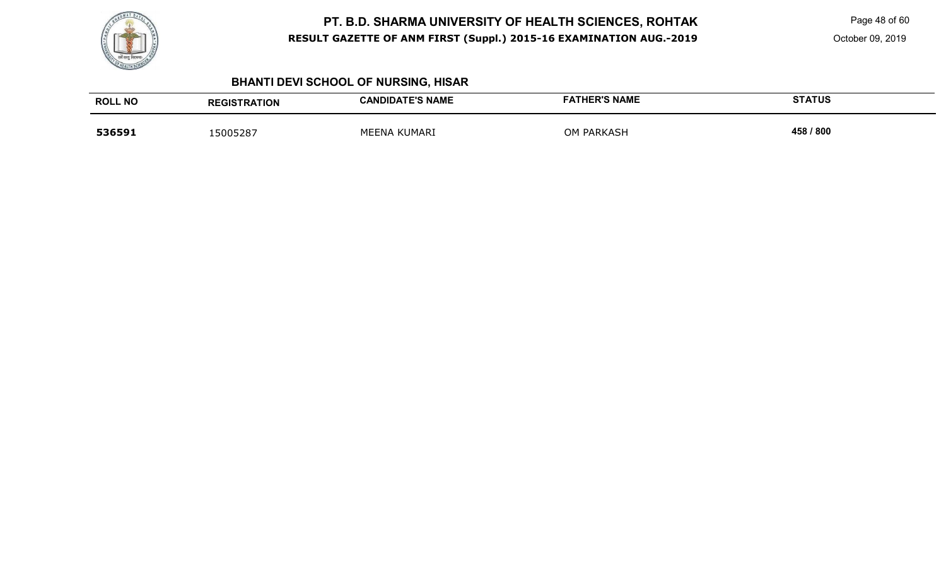

Page 48 of 60

October 09, 2019

# **BHANTI DEVI SCHOOL OF NURSING, HISAR**

| <b>ROLL NO</b> | <b>REGISTRATION</b> | <b>CANDIDATE'S NAME</b> | <b>FATHER'S NAME</b> | <b>STATUS</b> |
|----------------|---------------------|-------------------------|----------------------|---------------|
| 536591         | .5005287            | MEENA KUMARI            | <b>OM PARKASH</b>    | 458 / 800     |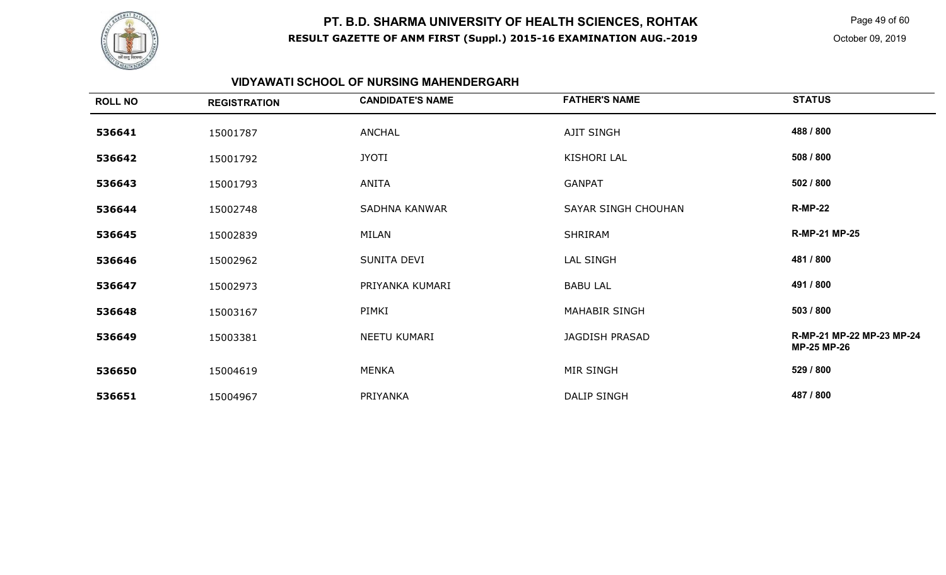

Page 49 of 60

## **VIDYAWATI SCHOOL OF NURSING MAHENDERGARH**

| <b>ROLL NO</b> | <b>REGISTRATION</b> | <b>CANDIDATE'S NAME</b> | <b>FATHER'S NAME</b> | <b>STATUS</b>                                   |
|----------------|---------------------|-------------------------|----------------------|-------------------------------------------------|
| 536641         | 15001787            | <b>ANCHAL</b>           | <b>AJIT SINGH</b>    | 488 / 800                                       |
| 536642         | 15001792            | <b>JYOTI</b>            | KISHORI LAL          | 508 / 800                                       |
| 536643         | 15001793            | ANITA                   | <b>GANPAT</b>        | 502 / 800                                       |
| 536644         | 15002748            | SADHNA KANWAR           | SAYAR SINGH CHOUHAN  | <b>R-MP-22</b>                                  |
| 536645         | 15002839            | MILAN                   | <b>SHRIRAM</b>       | <b>R-MP-21 MP-25</b>                            |
| 536646         | 15002962            | SUNITA DEVI             | LAL SINGH            | 481 / 800                                       |
| 536647         | 15002973            | PRIYANKA KUMARI         | <b>BABU LAL</b>      | 491 / 800                                       |
| 536648         | 15003167            | PIMKI                   | <b>MAHABIR SINGH</b> | 503 / 800                                       |
| 536649         | 15003381            | NEETU KUMARI            | JAGDISH PRASAD       | R-MP-21 MP-22 MP-23 MP-24<br><b>MP-25 MP-26</b> |
| 536650         | 15004619            | <b>MENKA</b>            | MIR SINGH            | 529 / 800                                       |
| 536651         | 15004967            | PRIYANKA                | <b>DALIP SINGH</b>   | 487 / 800                                       |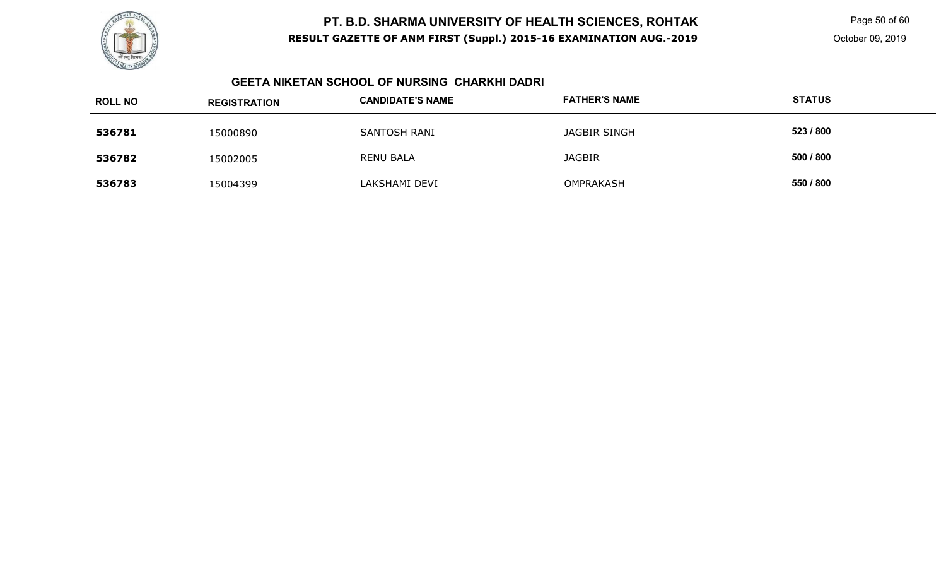

Page 50 of 60

#### **GEETA NIKETAN SCHOOL OF NURSING CHARKHI DADRI**

| <b>ROLL NO</b> | <b>REGISTRATION</b> | <b>CANDIDATE'S NAME</b> | <b>FATHER'S NAME</b> | <b>STATUS</b> |
|----------------|---------------------|-------------------------|----------------------|---------------|
| 536781         | 15000890            | SANTOSH RANI            | <b>JAGBIR SINGH</b>  | 523 / 800     |
| 536782         | 5002005             | <b>RENU BALA</b>        | <b>JAGBIR</b>        | 500 / 800     |
| 536783         | 5004399             | LAKSHAMI DEVI           | OMPRAKASH            | 550 / 800     |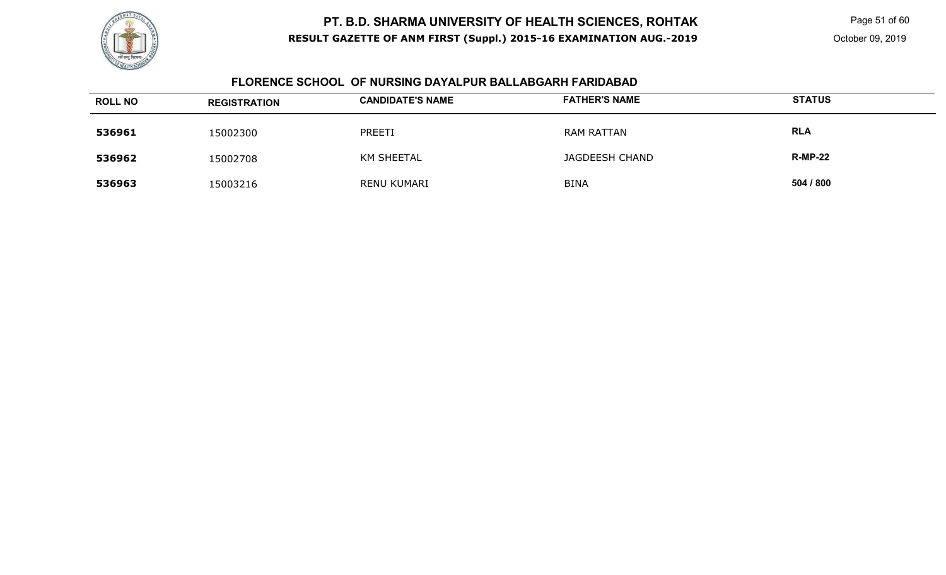

Page 51 of 60

### **FLORENCE SCHOOL OF NURSING DAYALPUR BALLABGARH FARIDABAD**

| <b>ROLL NO</b> | <b>REGISTRATION</b> | <b>CANDIDATE'S NAME</b> | <b>FATHER'S NAME</b> | <b>STATUS</b>  |
|----------------|---------------------|-------------------------|----------------------|----------------|
| 536961         | 15002300            | PREETI                  | <b>RAM RATTAN</b>    | <b>RLA</b>     |
| 536962         | 15002708            | <b>KM SHEETAL</b>       | JAGDEESH CHAND       | <b>R-MP-22</b> |
| 536963         | 15003216            | RENU KUMARI             | <b>BINA</b>          | 504 / 800      |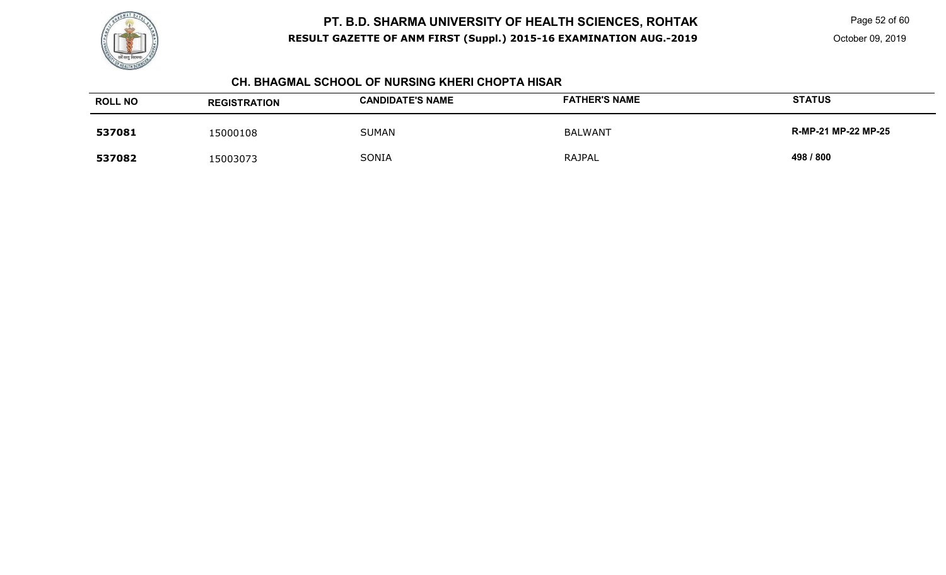

Page 52 of 60

October 09, 2019

#### **CH. BHAGMAL SCHOOL OF NURSING KHERI CHOPTA HISAR**

| <b>ROLL NO</b> | <b>REGISTRATION</b> | <b>CANDIDATE'S NAME</b> | <b>FATHER'S NAME</b> | <b>STATUS</b>       |
|----------------|---------------------|-------------------------|----------------------|---------------------|
| 537081         | 15000108            | <b>SUMAN</b>            | <b>BALWANT</b>       | R-MP-21 MP-22 MP-25 |
| 537082         | 15003073            | SONIA                   | RAJPAL               | 498 / 800           |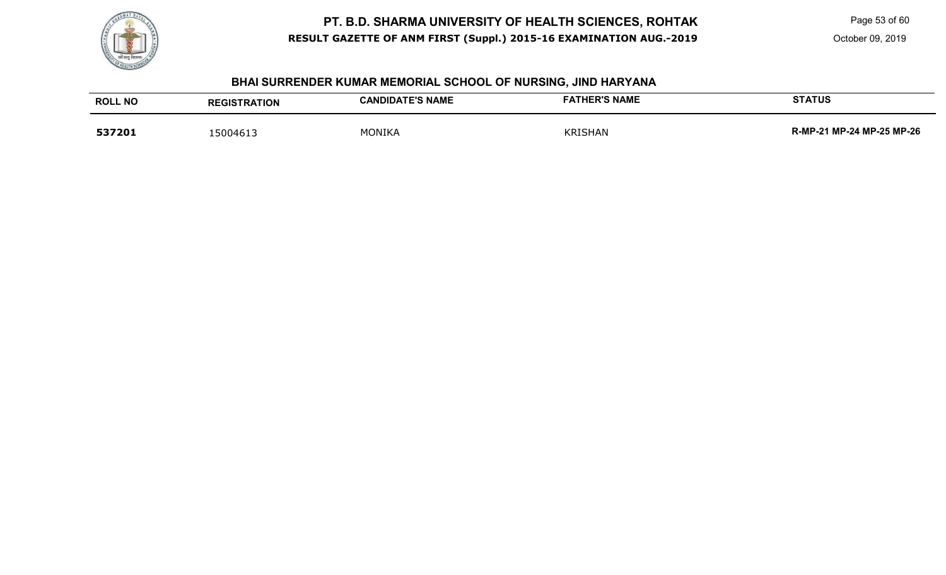

Page 53 of 60

October 09, 2019

# **BHAI SURRENDER KUMAR MEMORIAL SCHOOL OF NURSING, JIND HARYANA**

| <b>ROLL NO</b> | <b>REGISTRATION</b> | <b>CANDIDATE'S NAME</b> | <b>FATHER'S NAME</b> | <b>STATUS</b>             |
|----------------|---------------------|-------------------------|----------------------|---------------------------|
| 537201         | 15004613            | MONIKA                  | <b>KRISHAN</b>       | R-MP-21 MP-24 MP-25 MP-26 |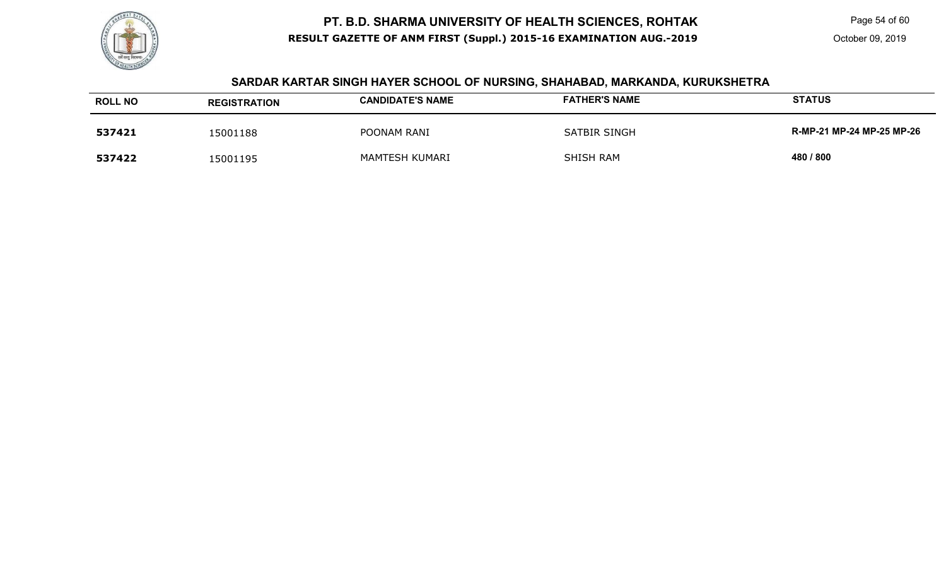

Page 54 of 60

October 09, 2019

#### **SARDAR KARTAR SINGH HAYER SCHOOL OF NURSING, SHAHABAD, MARKANDA, KURUKSHETRA**

| <b>ROLL NO</b> | <b>REGISTRATION</b> | <b>CANDIDATE'S NAME</b> | <b>FATHER'S NAME</b> | <b>STATUS</b>             |
|----------------|---------------------|-------------------------|----------------------|---------------------------|
| 537421         | 15001188            | POONAM RANI             | SATBIR SINGH         | R-MP-21 MP-24 MP-25 MP-26 |
| 537422         | 15001195            | MAMTESH KUMARI          | SHISH RAM            | 480 / 800                 |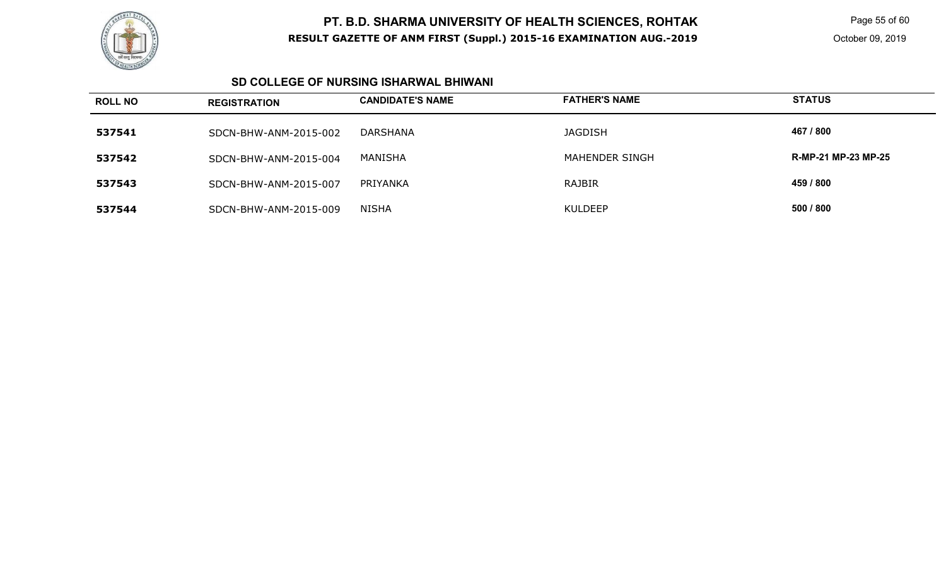

Page 55 of 60

#### **SD COLLEGE OF NURSING ISHARWAL BHIWANI**

| <b>ROLL NO</b> | <b>REGISTRATION</b>   | <b>CANDIDATE'S NAME</b> | <b>FATHER'S NAME</b>  | <b>STATUS</b>       |
|----------------|-----------------------|-------------------------|-----------------------|---------------------|
| 537541         | SDCN-BHW-ANM-2015-002 | DARSHANA                | <b>JAGDISH</b>        | 467 / 800           |
| 537542         | SDCN-BHW-ANM-2015-004 | MANISHA                 | <b>MAHENDER SINGH</b> | R-MP-21 MP-23 MP-25 |
| 537543         | SDCN-BHW-ANM-2015-007 | PRIYANKA                | RAJBIR                | 459 / 800           |
| 537544         | SDCN-BHW-ANM-2015-009 | <b>NISHA</b>            | KULDEEP               | 500 / 800           |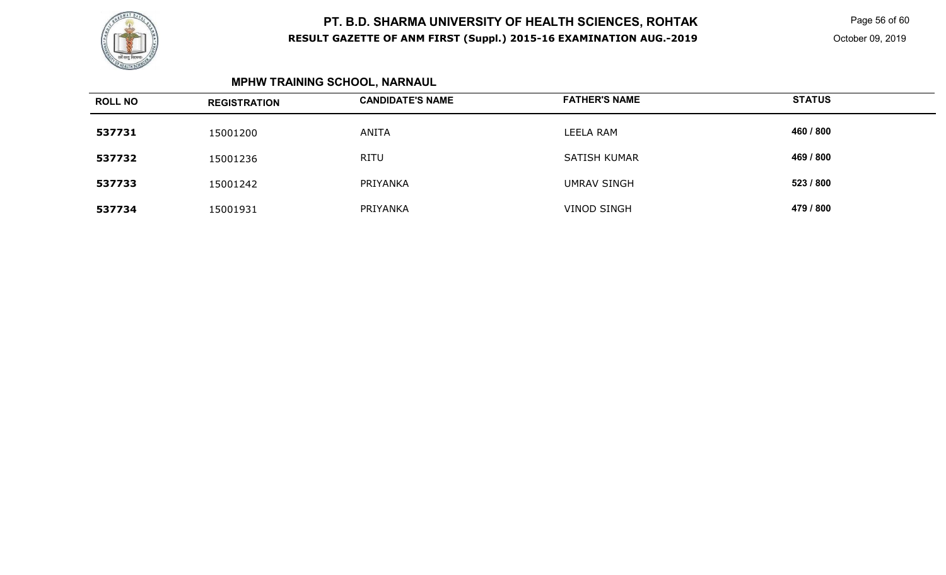

Page 56 of 60

# **MPHW TRAINING SCHOOL, NARNAUL**

| <b>ROLL NO</b> | <b>REGISTRATION</b> | <b>CANDIDATE'S NAME</b> | <b>FATHER'S NAME</b> | <b>STATUS</b> |
|----------------|---------------------|-------------------------|----------------------|---------------|
| 537731         | 15001200            | ANITA                   | <b>LEELA RAM</b>     | 460 / 800     |
| 537732         | 15001236            | <b>RITU</b>             | SATISH KUMAR         | 469 / 800     |
| 537733         | 15001242            | PRIYANKA                | <b>UMRAV SINGH</b>   | 523 / 800     |
| 537734         | 15001931            | PRIYANKA                | <b>VINOD SINGH</b>   | 479 / 800     |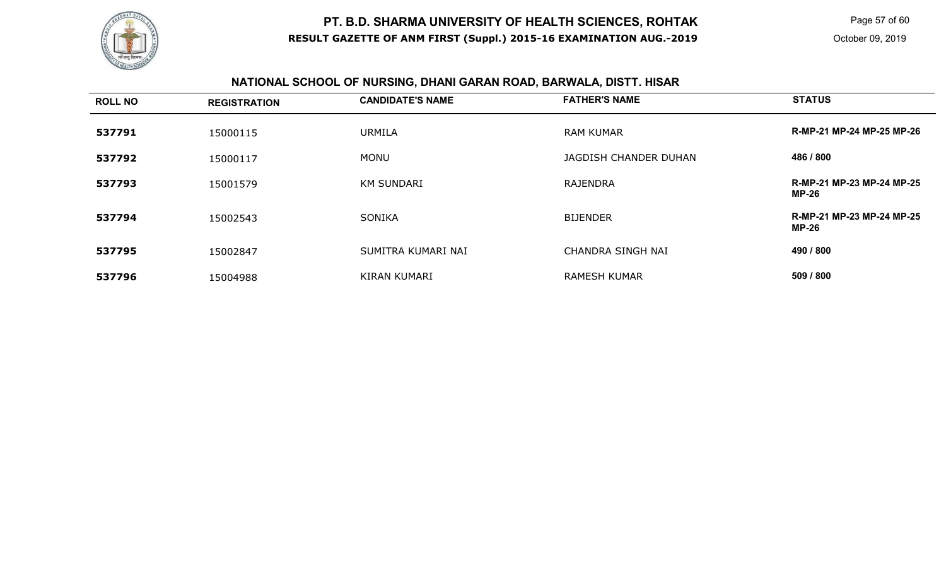

Page 57 of 60

# **NATIONAL SCHOOL OF NURSING, DHANI GARAN ROAD, BARWALA, DISTT. HISAR**

| <b>ROLL NO</b> | <b>REGISTRATION</b> | <b>CANDIDATE'S NAME</b> | <b>FATHER'S NAME</b>     | <b>STATUS</b>                             |
|----------------|---------------------|-------------------------|--------------------------|-------------------------------------------|
| 537791         | 15000115            | <b>URMILA</b>           | <b>RAM KUMAR</b>         | R-MP-21 MP-24 MP-25 MP-26                 |
| 537792         | 15000117            | <b>MONU</b>             | JAGDISH CHANDER DUHAN    | 486 / 800                                 |
| 537793         | 15001579            | <b>KM SUNDARI</b>       | <b>RAJENDRA</b>          | R-MP-21 MP-23 MP-24 MP-25<br><b>MP-26</b> |
| 537794         | 15002543            | <b>SONIKA</b>           | <b>BIJENDER</b>          | R-MP-21 MP-23 MP-24 MP-25<br><b>MP-26</b> |
| 537795         | 15002847            | SUMITRA KUMARI NAI      | <b>CHANDRA SINGH NAI</b> | 490 / 800                                 |
| 537796         | 15004988            | <b>KIRAN KUMARI</b>     | <b>RAMESH KUMAR</b>      | 509 / 800                                 |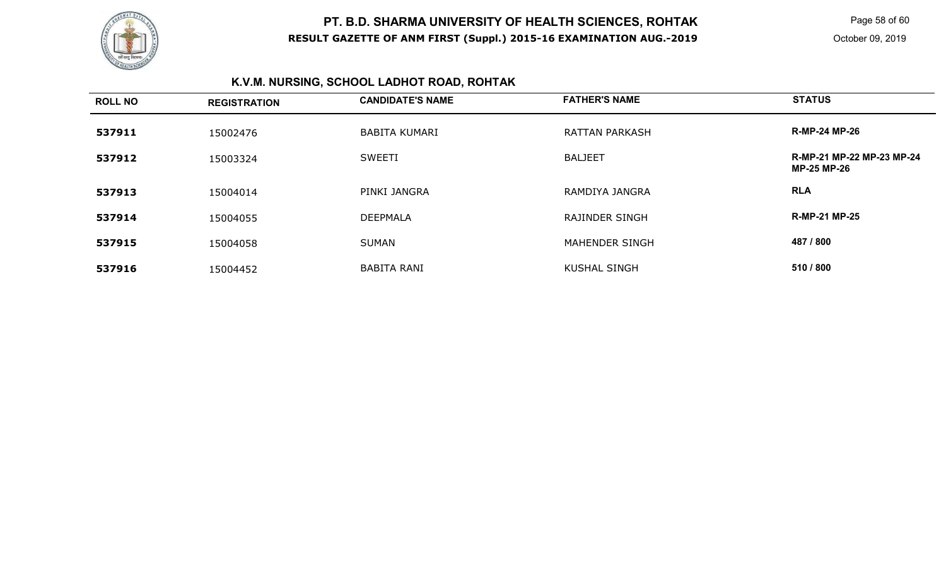

Page 58 of 60

# **K.V.M. NURSING, SCHOOL LADHOT ROAD, ROHTAK**

| <b>ROLL NO</b> | <b>REGISTRATION</b> | <b>CANDIDATE'S NAME</b> | <b>FATHER'S NAME</b>  | <b>STATUS</b>                                   |
|----------------|---------------------|-------------------------|-----------------------|-------------------------------------------------|
| 537911         | 15002476            | <b>BABITA KUMARI</b>    | <b>RATTAN PARKASH</b> | <b>R-MP-24 MP-26</b>                            |
| 537912         | 15003324            | <b>SWEETI</b>           | <b>BALJEET</b>        | R-MP-21 MP-22 MP-23 MP-24<br><b>MP-25 MP-26</b> |
| 537913         | 15004014            | PINKI JANGRA            | RAMDIYA JANGRA        | <b>RLA</b>                                      |
| 537914         | 15004055            | <b>DEEPMALA</b>         | <b>RAJINDER SINGH</b> | <b>R-MP-21 MP-25</b>                            |
| 537915         | 15004058            | <b>SUMAN</b>            | <b>MAHENDER SINGH</b> | 487 / 800                                       |
| 537916         | 15004452            | <b>BABITA RANI</b>      | <b>KUSHAL SINGH</b>   | 510 / 800                                       |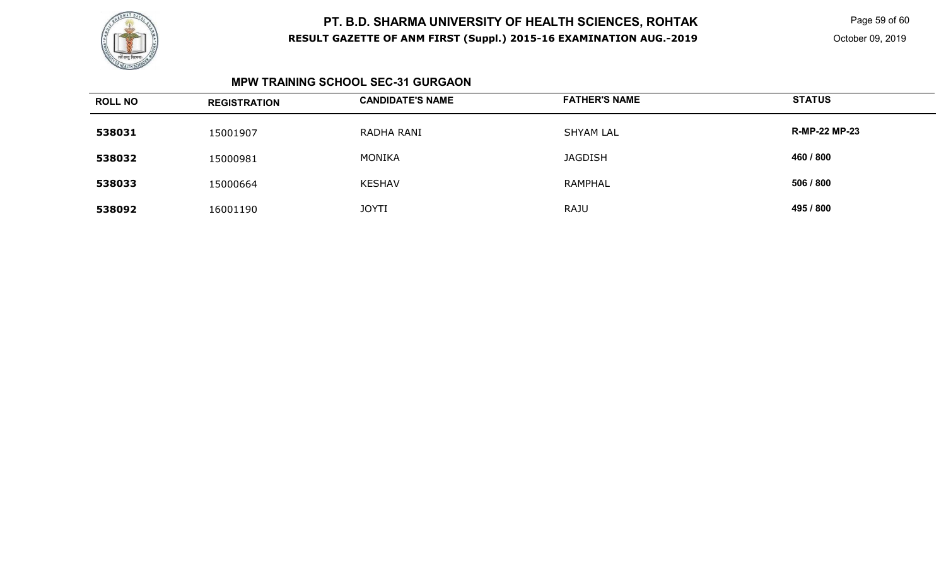

Page 59 of 60

#### **MPW TRAINING SCHOOL SEC-31 GURGAON**

| <b>ROLL NO</b> | <b>REGISTRATION</b> | <b>CANDIDATE'S NAME</b> | <b>FATHER'S NAME</b> | <b>STATUS</b>        |
|----------------|---------------------|-------------------------|----------------------|----------------------|
| 538031         | 15001907            | RADHA RANI              | <b>SHYAM LAL</b>     | <b>R-MP-22 MP-23</b> |
| 538032         | 15000981            | <b>MONIKA</b>           | <b>JAGDISH</b>       | 460 / 800            |
| 538033         | 15000664            | <b>KESHAV</b>           | RAMPHAL              | 506 / 800            |
| 538092         | 16001190            | <b>JOYTI</b>            | <b>RAJU</b>          | 495 / 800            |